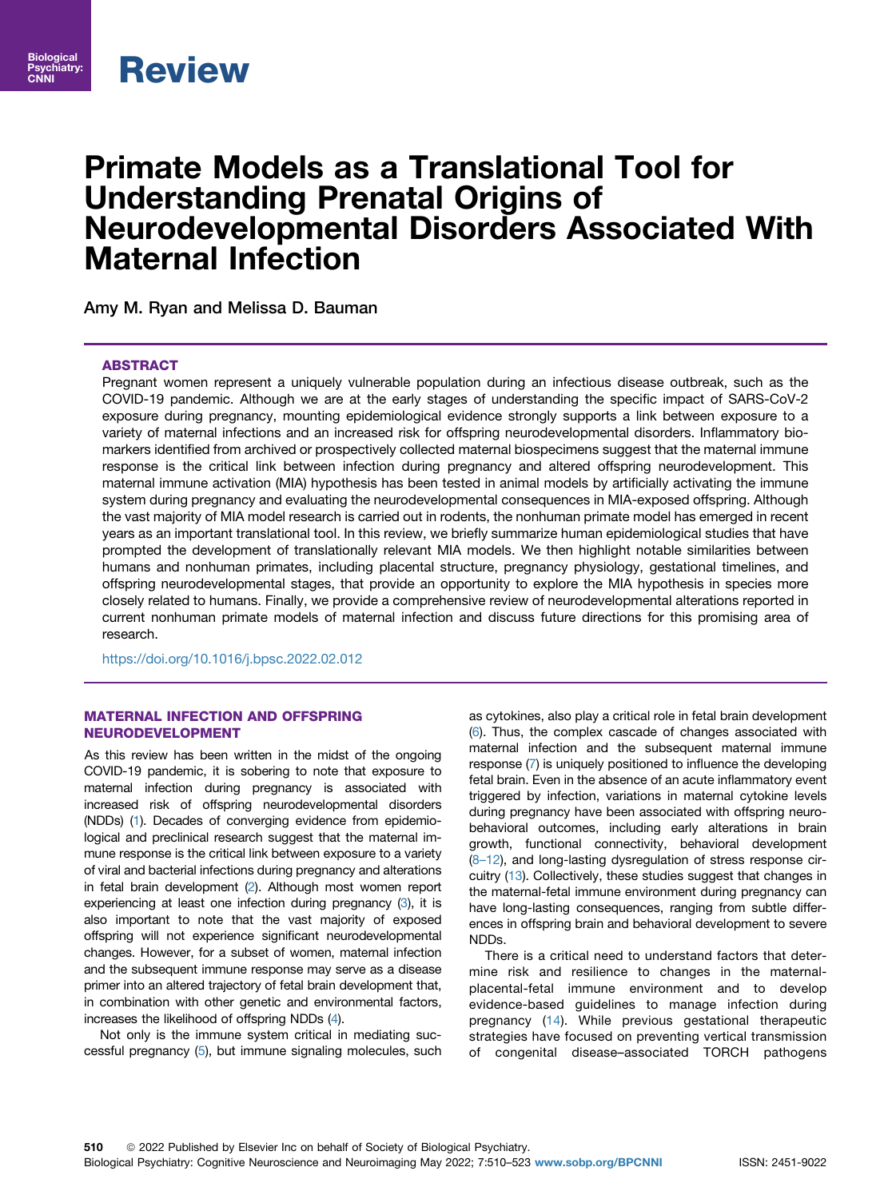

Biological Psychiatry: CNNI

# Primate Models as a Translational Tool for Understanding Prenatal Origins of Neurodevelopmental Disorders Associated With Maternal Infection

Amy M. Ryan and Melissa D. Bauman

## **ABSTRACT**

Pregnant women represent a uniquely vulnerable population during an infectious disease outbreak, such as the COVID-19 pandemic. Although we are at the early stages of understanding the specific impact of SARS-CoV-2 exposure during pregnancy, mounting epidemiological evidence strongly supports a link between exposure to a variety of maternal infections and an increased risk for offspring neurodevelopmental disorders. Inflammatory biomarkers identified from archived or prospectively collected maternal biospecimens suggest that the maternal immune response is the critical link between infection during pregnancy and altered offspring neurodevelopment. This maternal immune activation (MIA) hypothesis has been tested in animal models by artificially activating the immune system during pregnancy and evaluating the neurodevelopmental consequences in MIA-exposed offspring. Although the vast majority of MIA model research is carried out in rodents, the nonhuman primate model has emerged in recent years as an important translational tool. In this review, we briefly summarize human epidemiological studies that have prompted the development of translationally relevant MIA models. We then highlight notable similarities between humans and nonhuman primates, including placental structure, pregnancy physiology, gestational timelines, and offspring neurodevelopmental stages, that provide an opportunity to explore the MIA hypothesis in species more closely related to humans. Finally, we provide a comprehensive review of neurodevelopmental alterations reported in current nonhuman primate models of maternal infection and discuss future directions for this promising area of research.

<https://doi.org/10.1016/j.bpsc.2022.02.012>

## MATERNAL INFECTION AND OFFSPRING NEURODEVELOPMENT

As this review has been written in the midst of the ongoing COVID-19 pandemic, it is sobering to note that exposure to maternal infection during pregnancy is associated with increased risk of offspring neurodevelopmental disorders (NDDs) ([1\)](#page-10-0). Decades of converging evidence from epidemiological and preclinical research suggest that the maternal immune response is the critical link between exposure to a variety of viral and bacterial infections during pregnancy and alterations in fetal brain development ([2\)](#page-10-1). Although most women report experiencing at least one infection during pregnancy ([3](#page-10-2)), it is also important to note that the vast majority of exposed offspring will not experience significant neurodevelopmental changes. However, for a subset of women, maternal infection and the subsequent immune response may serve as a disease primer into an altered trajectory of fetal brain development that, in combination with other genetic and environmental factors, increases the likelihood of offspring NDDs [\(4\)](#page-10-3).

Not only is the immune system critical in mediating successful pregnancy [\(5](#page-10-4)), but immune signaling molecules, such

as cytokines, also play a critical role in fetal brain development [\(6](#page-10-5)). Thus, the complex cascade of changes associated with maternal infection and the subsequent maternal immune response [\(7](#page-10-6)) is uniquely positioned to influence the developing fetal brain. Even in the absence of an acute inflammatory event triggered by infection, variations in maternal cytokine levels during pregnancy have been associated with offspring neurobehavioral outcomes, including early alterations in brain growth, functional connectivity, behavioral development (8–[12\)](#page-10-7), and long-lasting dysregulation of stress response circuitry ([13](#page-10-8)). Collectively, these studies suggest that changes in the maternal-fetal immune environment during pregnancy can have long-lasting consequences, ranging from subtle differences in offspring brain and behavioral development to severe NDDs.

There is a critical need to understand factors that determine risk and resilience to changes in the maternalplacental-fetal immune environment and to develop evidence-based guidelines to manage infection during pregnancy ([14](#page-10-9)). While previous gestational therapeutic strategies have focused on preventing vertical transmission of congenital disease–associated TORCH pathogens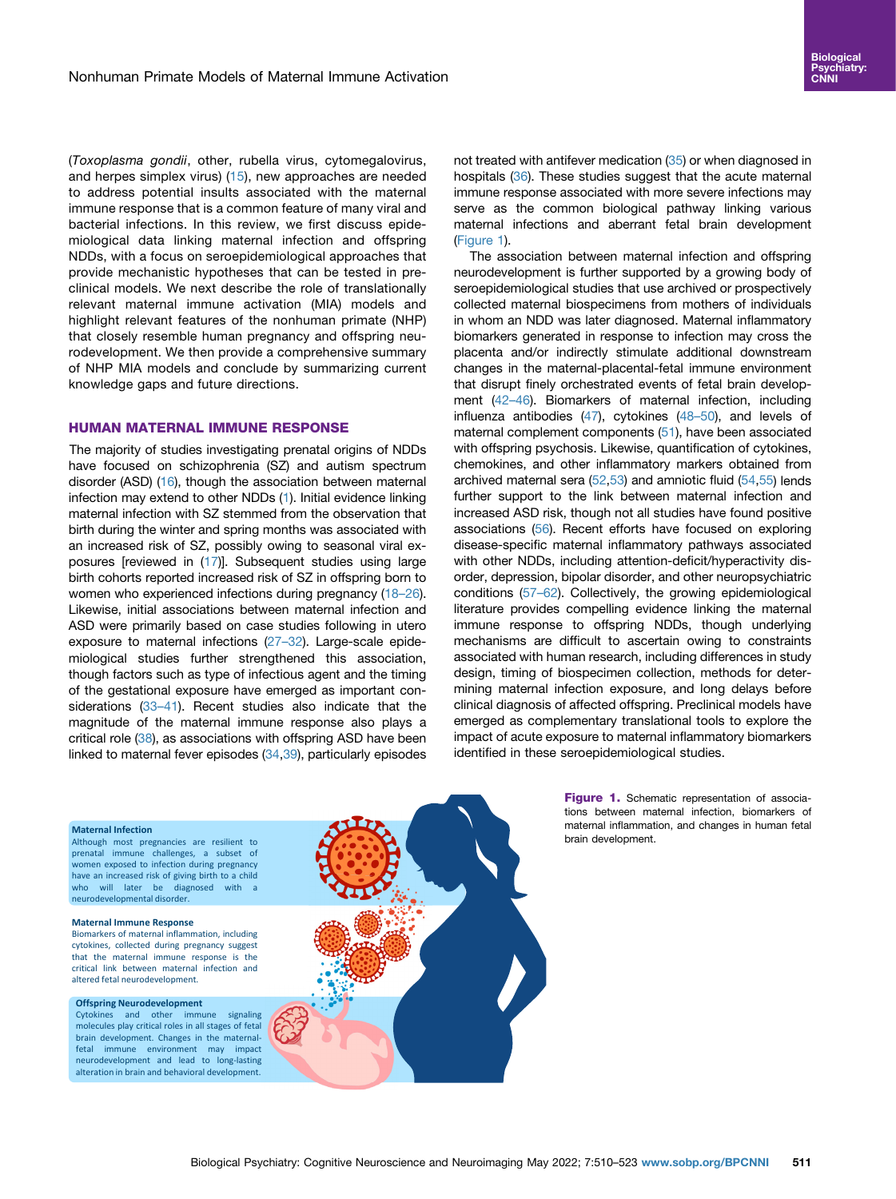(Toxoplasma gondii, other, rubella virus, cytomegalovirus, and herpes simplex virus) ([15\)](#page-10-10), new approaches are needed to address potential insults associated with the maternal immune response that is a common feature of many viral and bacterial infections. In this review, we first discuss epidemiological data linking maternal infection and offspring NDDs, with a focus on seroepidemiological approaches that provide mechanistic hypotheses that can be tested in preclinical models. We next describe the role of translationally relevant maternal immune activation (MIA) models and highlight relevant features of the nonhuman primate (NHP) that closely resemble human pregnancy and offspring neurodevelopment. We then provide a comprehensive summary of NHP MIA models and conclude by summarizing current knowledge gaps and future directions.

#### HUMAN MATERNAL IMMUNE RESPONSE

The majority of studies investigating prenatal origins of NDDs have focused on schizophrenia (SZ) and autism spectrum disorder (ASD) ([16\)](#page-10-11), though the association between maternal infection may extend to other NDDs ([1](#page-10-0)). Initial evidence linking maternal infection with SZ stemmed from the observation that birth during the winter and spring months was associated with an increased risk of SZ, possibly owing to seasonal viral exposures [reviewed in [\(17\)](#page-10-12)]. Subsequent studies using large birth cohorts reported increased risk of SZ in offspring born to women who experienced infections during pregnancy [\(18](#page-10-13)–26). Likewise, initial associations between maternal infection and ASD were primarily based on case studies following in utero exposure to maternal infections (27–[32\)](#page-10-14). Large-scale epidemiological studies further strengthened this association, though factors such as type of infectious agent and the timing of the gestational exposure have emerged as important con-siderations [\(33](#page-10-15)-41). Recent studies also indicate that the magnitude of the maternal immune response also plays a critical role [\(38](#page-11-0)), as associations with offspring ASD have been linked to maternal fever episodes [\(34,](#page-10-16)[39](#page-11-1)), particularly episodes not treated with antifever medication ([35\)](#page-10-17) or when diagnosed in hospitals [\(36\)](#page-10-18). These studies suggest that the acute maternal immune response associated with more severe infections may serve as the common biological pathway linking various maternal infections and aberrant fetal brain development [\(Figure 1](#page-1-0)).

The association between maternal infection and offspring neurodevelopment is further supported by a growing body of seroepidemiological studies that use archived or prospectively collected maternal biospecimens from mothers of individuals in whom an NDD was later diagnosed. Maternal inflammatory biomarkers generated in response to infection may cross the placenta and/or indirectly stimulate additional downstream changes in the maternal-placental-fetal immune environment that disrupt finely orchestrated events of fetal brain development [\(42](#page-11-2)–46). Biomarkers of maternal infection, including influenza antibodies [\(47\)](#page-11-3), cytokines (48–[50\)](#page-11-4), and levels of maternal complement components ([51](#page-11-5)), have been associated with offspring psychosis. Likewise, quantification of cytokines, chemokines, and other inflammatory markers obtained from archived maternal sera ([52](#page-11-6)[,53\)](#page-11-7) and amniotic fluid [\(54](#page-11-8),[55](#page-11-9)) lends further support to the link between maternal infection and increased ASD risk, though not all studies have found positive associations [\(56\)](#page-11-10). Recent efforts have focused on exploring disease-specific maternal inflammatory pathways associated with other NDDs, including attention-deficit/hyperactivity disorder, depression, bipolar disorder, and other neuropsychiatric conditions [\(57](#page-11-11)–62). Collectively, the growing epidemiological literature provides compelling evidence linking the maternal immune response to offspring NDDs, though underlying mechanisms are difficult to ascertain owing to constraints associated with human research, including differences in study design, timing of biospecimen collection, methods for determining maternal infection exposure, and long delays before clinical diagnosis of affected offspring. Preclinical models have emerged as complementary translational tools to explore the impact of acute exposure to maternal inflammatory biomarkers identified in these seroepidemiological studies.

<span id="page-1-0"></span>

Although most pregnancies are resilient to prenatal immune challenges, a subset of women exposed to infection during pregnancy have an increased risk of giving birth to a child who will later be diagnosed with a neurodevelopmental disorder.

#### **Maternal Immune Response**

Biomarkers of maternal inflammation, including cytokines, collected during pregnancy suggest that the maternal immune response is the critical link between maternal infection and altered fetal neurodevelopment.

## **Offspring Neurodevelopment**<br>Cytokines and other immune

and other immune signaling molecules play critical roles in all stages of fetal brain development. Changes in the maternalfetal immune environment may impact neurodevelopment and lead to long-lasting alteration in brain and behavioral development.



Figure 1. Schematic representation of associations between maternal infection, biomarkers of maternal inflammation, and changes in human fetal brain development.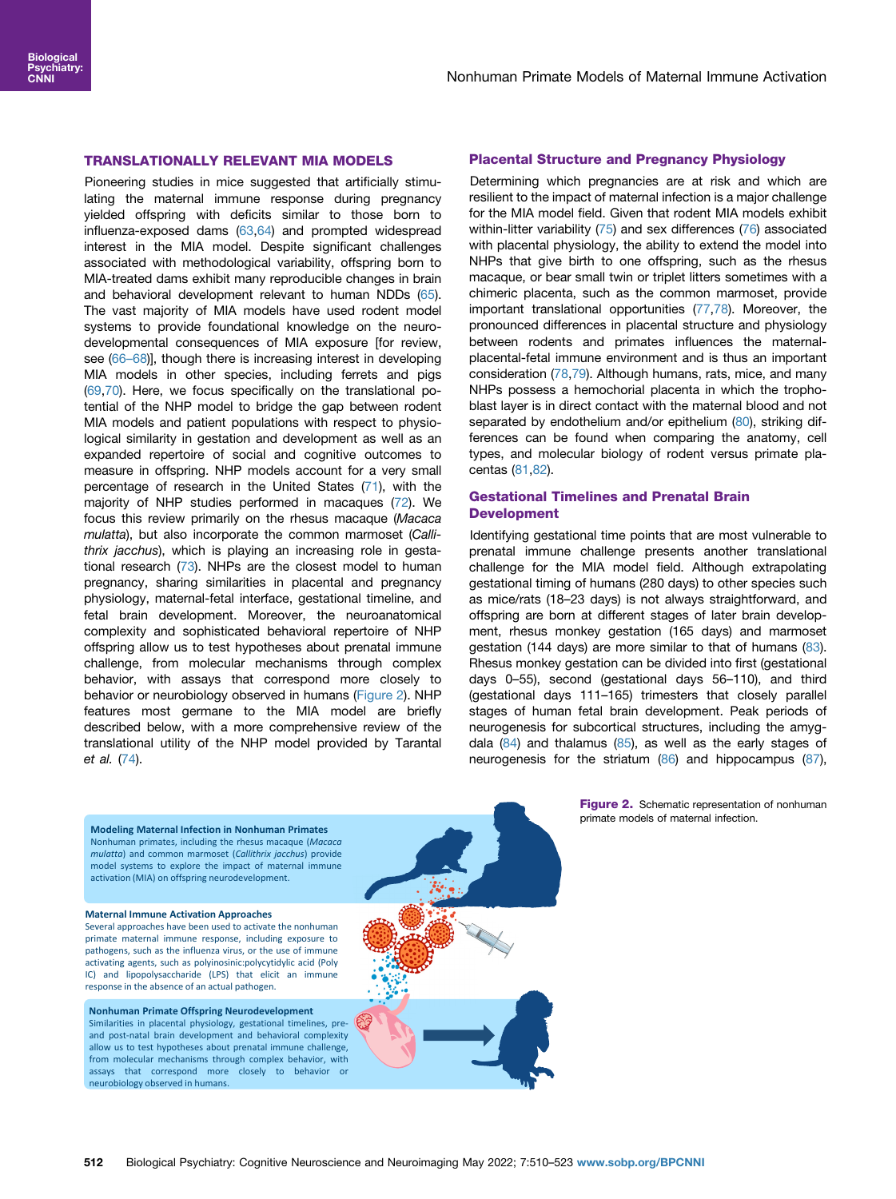## TRANSLATIONALLY RELEVANT MIA MODELS

Pioneering studies in mice suggested that artificially stimulating the maternal immune response during pregnancy yielded offspring with deficits similar to those born to influenza-exposed dams [\(63,](#page-11-12)[64](#page-11-13)) and prompted widespread interest in the MIA model. Despite significant challenges associated with methodological variability, offspring born to MIA-treated dams exhibit many reproducible changes in brain and behavioral development relevant to human NDDs ([65](#page-11-14)). The vast majority of MIA models have used rodent model systems to provide foundational knowledge on the neurodevelopmental consequences of MIA exposure [for review, see [\(66](#page-11-15)-68)], though there is increasing interest in developing MIA models in other species, including ferrets and pigs ([69](#page-11-16),[70\)](#page-11-17). Here, we focus specifically on the translational potential of the NHP model to bridge the gap between rodent MIA models and patient populations with respect to physiological similarity in gestation and development as well as an expanded repertoire of social and cognitive outcomes to measure in offspring. NHP models account for a very small percentage of research in the United States [\(71](#page-11-18)), with the majority of NHP studies performed in macaques [\(72\)](#page-11-19). We focus this review primarily on the rhesus macaque (Macaca mulatta), but also incorporate the common marmoset (Callithrix jacchus), which is playing an increasing role in gestational research ([73](#page-11-20)). NHPs are the closest model to human pregnancy, sharing similarities in placental and pregnancy physiology, maternal-fetal interface, gestational timeline, and fetal brain development. Moreover, the neuroanatomical complexity and sophisticated behavioral repertoire of NHP offspring allow us to test hypotheses about prenatal immune challenge, from molecular mechanisms through complex behavior, with assays that correspond more closely to behavior or neurobiology observed in humans ([Figure 2\)](#page-2-0). NHP features most germane to the MIA model are briefly described below, with a more comprehensive review of the translational utility of the NHP model provided by Tarantal et al. [\(74\)](#page-11-21).

## Placental Structure and Pregnancy Physiology

Determining which pregnancies are at risk and which are resilient to the impact of maternal infection is a major challenge for the MIA model field. Given that rodent MIA models exhibit within-litter variability [\(75](#page-11-22)) and sex differences ([76](#page-11-23)) associated with placental physiology, the ability to extend the model into NHPs that give birth to one offspring, such as the rhesus macaque, or bear small twin or triplet litters sometimes with a chimeric placenta, such as the common marmoset, provide important translational opportunities ([77](#page-11-24)[,78\)](#page-12-0). Moreover, the pronounced differences in placental structure and physiology between rodents and primates influences the maternalplacental-fetal immune environment and is thus an important consideration ([78](#page-12-0)[,79\)](#page-12-1). Although humans, rats, mice, and many NHPs possess a hemochorial placenta in which the trophoblast layer is in direct contact with the maternal blood and not separated by endothelium and/or epithelium [\(80\)](#page-12-2), striking differences can be found when comparing the anatomy, cell types, and molecular biology of rodent versus primate placentas [\(81,](#page-12-3)[82](#page-12-4)).

## Gestational Timelines and Prenatal Brain Development

Identifying gestational time points that are most vulnerable to prenatal immune challenge presents another translational challenge for the MIA model field. Although extrapolating gestational timing of humans (280 days) to other species such as mice/rats (18–23 days) is not always straightforward, and offspring are born at different stages of later brain development, rhesus monkey gestation (165 days) and marmoset gestation (144 days) are more similar to that of humans [\(83\)](#page-12-5). Rhesus monkey gestation can be divided into first (gestational days 0–55), second (gestational days 56–110), and third (gestational days 111–165) trimesters that closely parallel stages of human fetal brain development. Peak periods of neurogenesis for subcortical structures, including the amygdala  $(84)$  and thalamus  $(85)$  $(85)$  $(85)$ , as well as the early stages of neurogenesis for the striatum ([86](#page-12-8)) and hippocampus [\(87\)](#page-12-9),

<span id="page-2-0"></span>**Modeling Maternal Infection in Nonhuman Primates** Nonhuman primates, including the rhesus macaque (*Macaca mulatta*) and common marmoset (*Callithrix jacchus*) provide model systems to explore the impact of maternal immune activation (MIA) on offspring neurodevelopment.

#### **Maternal Immune Activation Approaches**

neurobiology observed in humans.

Several approaches have been used to activate the nonhuman primate maternal immune response, including exposure to pathogens, such as the influenza virus, or the use of immune activating agents, such as polyinosinic:polycytidylic acid (Poly IC) and lipopolysaccharide (LPS) that elicit an immune response in the absence of an actual pathogen.

**Nonhuman Primate Offspring Neurodevelopment** Similarities in placental physiology, gestational timelines, preand post-natal brain development and behavioral complexity allow us to test hypotheses about prenatal immune challenge, from molecular mechanisms through complex behavior, with assays that correspond more closely to behavior or

**Figure 2.** Schematic representation of nonhuman primate models of maternal infection.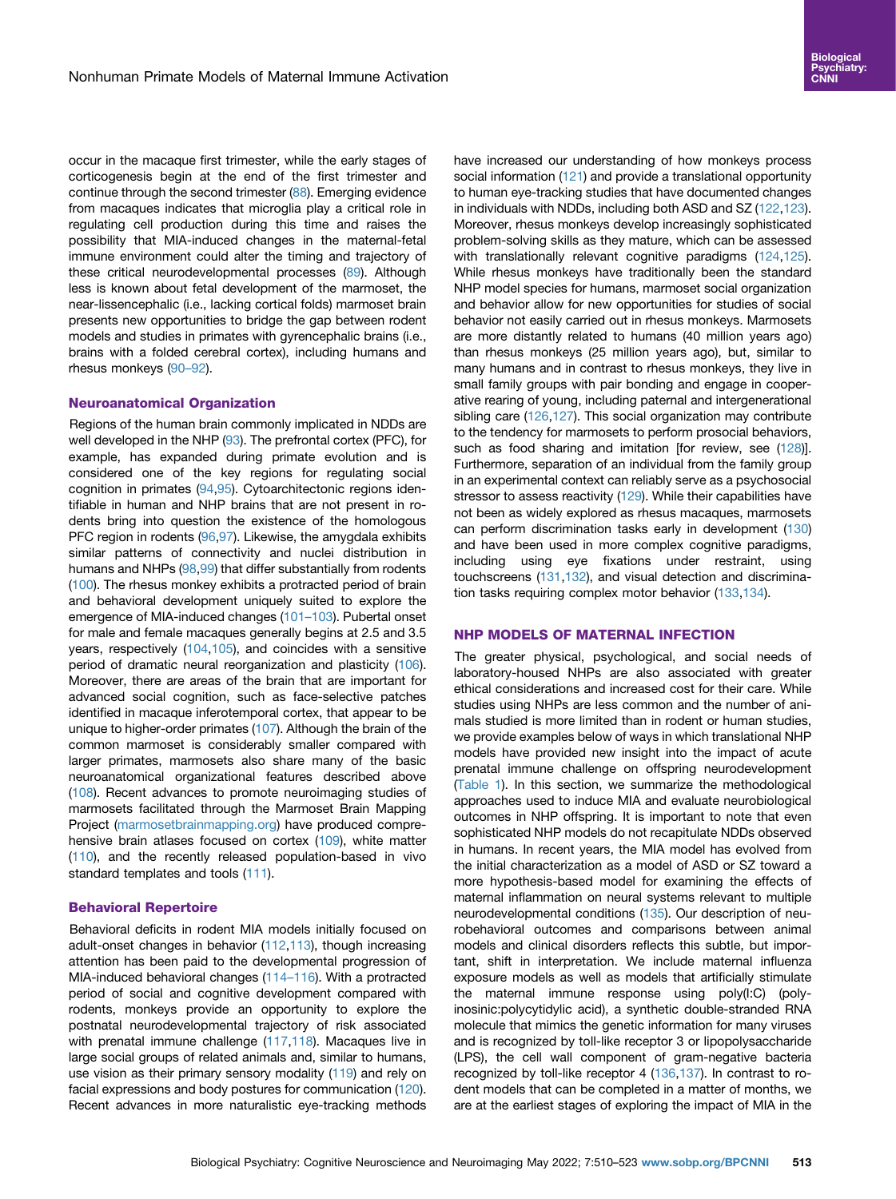occur in the macaque first trimester, while the early stages of corticogenesis begin at the end of the first trimester and continue through the second trimester [\(88\)](#page-12-10). Emerging evidence from macaques indicates that microglia play a critical role in regulating cell production during this time and raises the possibility that MIA-induced changes in the maternal-fetal immune environment could alter the timing and trajectory of these critical neurodevelopmental processes [\(89\)](#page-12-11). Although less is known about fetal development of the marmoset, the near-lissencephalic (i.e., lacking cortical folds) marmoset brain presents new opportunities to bridge the gap between rodent models and studies in primates with gyrencephalic brains (i.e., brains with a folded cerebral cortex), including humans and rhesus monkeys ([90](#page-12-12)–92).

#### Neuroanatomical Organization

Regions of the human brain commonly implicated in NDDs are well developed in the NHP [\(93\)](#page-12-13). The prefrontal cortex (PFC), for example, has expanded during primate evolution and is considered one of the key regions for regulating social cognition in primates [\(94,](#page-12-14)[95](#page-12-15)). Cytoarchitectonic regions identifiable in human and NHP brains that are not present in rodents bring into question the existence of the homologous PFC region in rodents ([96](#page-12-16)[,97\)](#page-12-17). Likewise, the amygdala exhibits similar patterns of connectivity and nuclei distribution in humans and NHPs [\(98](#page-12-18),[99](#page-12-19)) that differ substantially from rodents ([100\)](#page-12-20). The rhesus monkey exhibits a protracted period of brain and behavioral development uniquely suited to explore the emergence of MIA-induced changes [\(101](#page-12-21)–103). Pubertal onset for male and female macaques generally begins at 2.5 and 3.5 years, respectively ([104,](#page-12-22)[105](#page-12-23)), and coincides with a sensitive period of dramatic neural reorganization and plasticity [\(106](#page-12-24)). Moreover, there are areas of the brain that are important for advanced social cognition, such as face-selective patches identified in macaque inferotemporal cortex, that appear to be unique to higher-order primates ([107\)](#page-12-25). Although the brain of the common marmoset is considerably smaller compared with larger primates, marmosets also share many of the basic neuroanatomical organizational features described above ([108\)](#page-12-26). Recent advances to promote neuroimaging studies of marmosets facilitated through the Marmoset Brain Mapping Project ([marmosetbrainmapping.org\)](http://marmosetbrainmapping.org) have produced compre-hensive brain atlases focused on cortex ([109\)](#page-12-27), white matter ([110\)](#page-12-28), and the recently released population-based in vivo standard templates and tools ([111\)](#page-12-29).

## Behavioral Repertoire

Behavioral deficits in rodent MIA models initially focused on adult-onset changes in behavior ([112,](#page-12-30)[113](#page-12-31)), though increasing attention has been paid to the developmental progression of MIA-induced behavioral changes (114–[116\)](#page-12-32). With a protracted period of social and cognitive development compared with rodents, monkeys provide an opportunity to explore the postnatal neurodevelopmental trajectory of risk associated with prenatal immune challenge [\(117](#page-12-33)[,118](#page-12-34)). Macaques live in large social groups of related animals and, similar to humans, use vision as their primary sensory modality ([119\)](#page-12-35) and rely on facial expressions and body postures for communication [\(120](#page-12-36)). Recent advances in more naturalistic eye-tracking methods have increased our understanding of how monkeys process social information [\(121](#page-12-37)) and provide a translational opportunity to human eye-tracking studies that have documented changes in individuals with NDDs, including both ASD and SZ [\(122](#page-12-38),[123\)](#page-12-39). Moreover, rhesus monkeys develop increasingly sophisticated problem-solving skills as they mature, which can be assessed with translationally relevant cognitive paradigms [\(124](#page-13-0),[125\)](#page-13-1). While rhesus monkeys have traditionally been the standard NHP model species for humans, marmoset social organization and behavior allow for new opportunities for studies of social behavior not easily carried out in rhesus monkeys. Marmosets are more distantly related to humans (40 million years ago) than rhesus monkeys (25 million years ago), but, similar to many humans and in contrast to rhesus monkeys, they live in small family groups with pair bonding and engage in cooperative rearing of young, including paternal and intergenerational sibling care [\(126](#page-13-2),[127\)](#page-13-3). This social organization may contribute to the tendency for marmosets to perform prosocial behaviors, such as food sharing and imitation [for review, see [\(128\)](#page-13-4)]. Furthermore, separation of an individual from the family group in an experimental context can reliably serve as a psychosocial stressor to assess reactivity [\(129](#page-13-5)). While their capabilities have not been as widely explored as rhesus macaques, marmosets can perform discrimination tasks early in development ([130\)](#page-13-6) and have been used in more complex cognitive paradigms, including using eye fixations under restraint, using touchscreens ([131,](#page-13-7)[132\)](#page-13-8), and visual detection and discrimination tasks requiring complex motor behavior ([133,](#page-13-9)[134](#page-13-10)).

#### NHP MODELS OF MATERNAL INFECTION

The greater physical, psychological, and social needs of laboratory-housed NHPs are also associated with greater ethical considerations and increased cost for their care. While studies using NHPs are less common and the number of animals studied is more limited than in rodent or human studies, we provide examples below of ways in which translational NHP models have provided new insight into the impact of acute prenatal immune challenge on offspring neurodevelopment [\(Table 1\)](#page-4-0). In this section, we summarize the methodological approaches used to induce MIA and evaluate neurobiological outcomes in NHP offspring. It is important to note that even sophisticated NHP models do not recapitulate NDDs observed in humans. In recent years, the MIA model has evolved from the initial characterization as a model of ASD or SZ toward a more hypothesis-based model for examining the effects of maternal inflammation on neural systems relevant to multiple neurodevelopmental conditions ([135](#page-13-11)). Our description of neurobehavioral outcomes and comparisons between animal models and clinical disorders reflects this subtle, but important, shift in interpretation. We include maternal influenza exposure models as well as models that artificially stimulate the maternal immune response using poly(I:C) (polyinosinic:polycytidylic acid), a synthetic double-stranded RNA molecule that mimics the genetic information for many viruses and is recognized by toll-like receptor 3 or lipopolysaccharide (LPS), the cell wall component of gram-negative bacteria recognized by toll-like receptor 4 [\(136](#page-13-12),[137\)](#page-13-13). In contrast to rodent models that can be completed in a matter of months, we are at the earliest stages of exploring the impact of MIA in the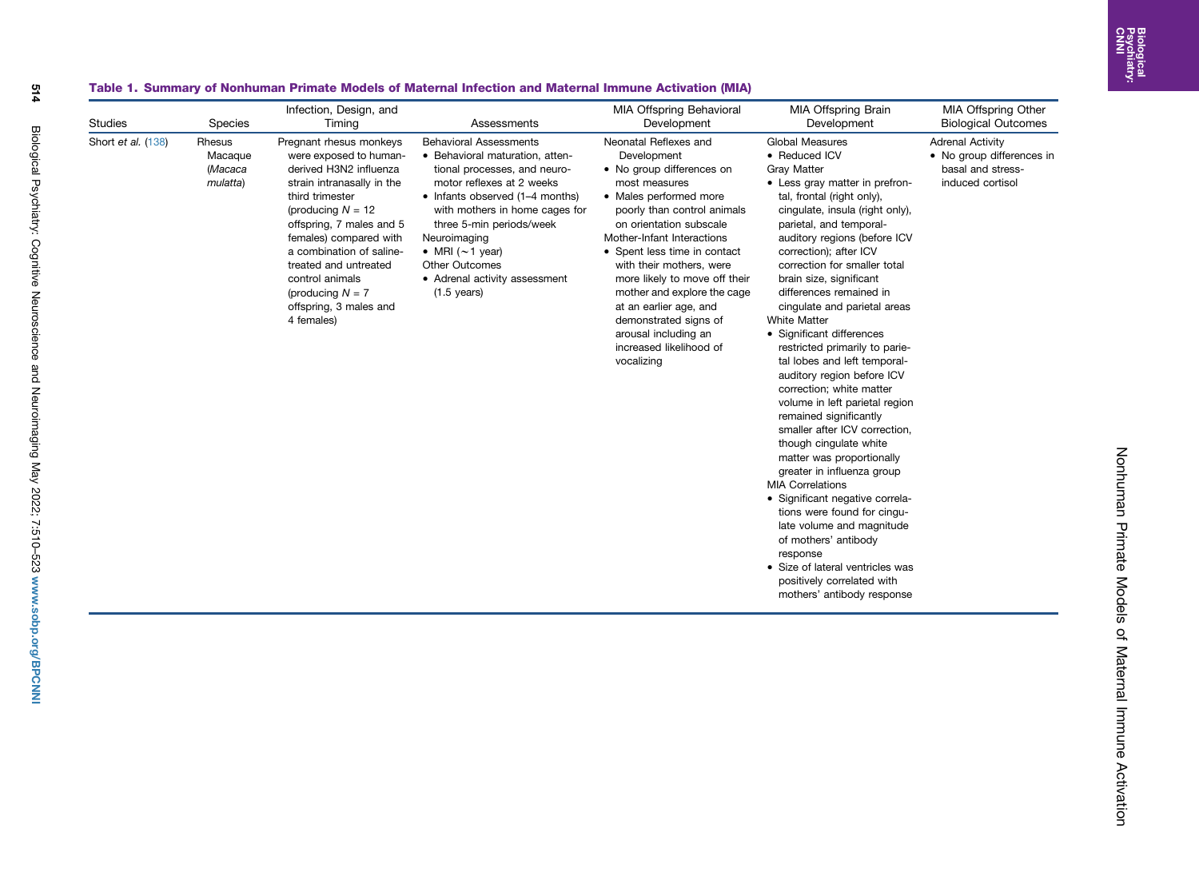Nonhuman Primate Models of Maternal Immune Activation

Nonhuman Primate Models of Maternal Immune Activation

## Table 1. Summary of Nonhuman Primate Models of Maternal Infection and Maternal Immune Activation (MIA)

<span id="page-4-0"></span>

| <b>Studies</b>     | Species                                  | Infection, Design, and<br>Timing                                                                                                                                                                                                                                                                                                                | Assessments                                                                                                                                                                                                                                                                                                                                                | <b>MIA Offspring Behavioral</b><br>Development                                                                                                                                                                                                                                                                                                                                                                                                       | <b>MIA Offspring Brain</b><br>Development                                                                                                                                                                                                                                                                                                                                                                                                                                                                                                                                                                                                                                                                                                                                                                                                                                                                                                                                                                   | <b>MIA Offspring Other</b><br><b>Biological Outcomes</b>                                      |
|--------------------|------------------------------------------|-------------------------------------------------------------------------------------------------------------------------------------------------------------------------------------------------------------------------------------------------------------------------------------------------------------------------------------------------|------------------------------------------------------------------------------------------------------------------------------------------------------------------------------------------------------------------------------------------------------------------------------------------------------------------------------------------------------------|------------------------------------------------------------------------------------------------------------------------------------------------------------------------------------------------------------------------------------------------------------------------------------------------------------------------------------------------------------------------------------------------------------------------------------------------------|-------------------------------------------------------------------------------------------------------------------------------------------------------------------------------------------------------------------------------------------------------------------------------------------------------------------------------------------------------------------------------------------------------------------------------------------------------------------------------------------------------------------------------------------------------------------------------------------------------------------------------------------------------------------------------------------------------------------------------------------------------------------------------------------------------------------------------------------------------------------------------------------------------------------------------------------------------------------------------------------------------------|-----------------------------------------------------------------------------------------------|
| Short et al. (138) | Rhesus<br>Macaque<br>(Macaca<br>mulatta) | Pregnant rhesus monkeys<br>were exposed to human-<br>derived H3N2 influenza<br>strain intranasally in the<br>third trimester<br>(producing $N = 12$<br>offspring, 7 males and 5<br>females) compared with<br>a combination of saline-<br>treated and untreated<br>control animals<br>(producing $N = 7$<br>offspring, 3 males and<br>4 females) | <b>Behavioral Assessments</b><br>• Behavioral maturation, atten-<br>tional processes, and neuro-<br>motor reflexes at 2 weeks<br>• Infants observed (1-4 months)<br>with mothers in home cages for<br>three 5-min periods/week<br>Neuroimaging<br>• MRI $(\sim 1$ year)<br><b>Other Outcomes</b><br>• Adrenal activity assessment<br>$(1.5 \text{ years})$ | Neonatal Reflexes and<br>Development<br>• No group differences on<br>most measures<br>• Males performed more<br>poorly than control animals<br>on orientation subscale<br>Mother-Infant Interactions<br>• Spent less time in contact<br>with their mothers, were<br>more likely to move off their<br>mother and explore the cage<br>at an earlier age, and<br>demonstrated signs of<br>arousal including an<br>increased likelihood of<br>vocalizing | <b>Global Measures</b><br>• Reduced ICV<br><b>Gray Matter</b><br>• Less gray matter in prefron-<br>tal, frontal (right only),<br>cingulate, insula (right only),<br>parietal, and temporal-<br>auditory regions (before ICV<br>correction); after ICV<br>correction for smaller total<br>brain size, significant<br>differences remained in<br>cingulate and parietal areas<br><b>White Matter</b><br>• Significant differences<br>restricted primarily to parie-<br>tal lobes and left temporal-<br>auditory region before ICV<br>correction; white matter<br>volume in left parietal region<br>remained significantly<br>smaller after ICV correction.<br>though cingulate white<br>matter was proportionally<br>greater in influenza group<br><b>MIA Correlations</b><br>· Significant negative correla-<br>tions were found for cinqu-<br>late volume and magnitude<br>of mothers' antibody<br>response<br>• Size of lateral ventricles was<br>positively correlated with<br>mothers' antibody response | <b>Adrenal Activity</b><br>• No group differences in<br>basal and stress-<br>induced cortisol |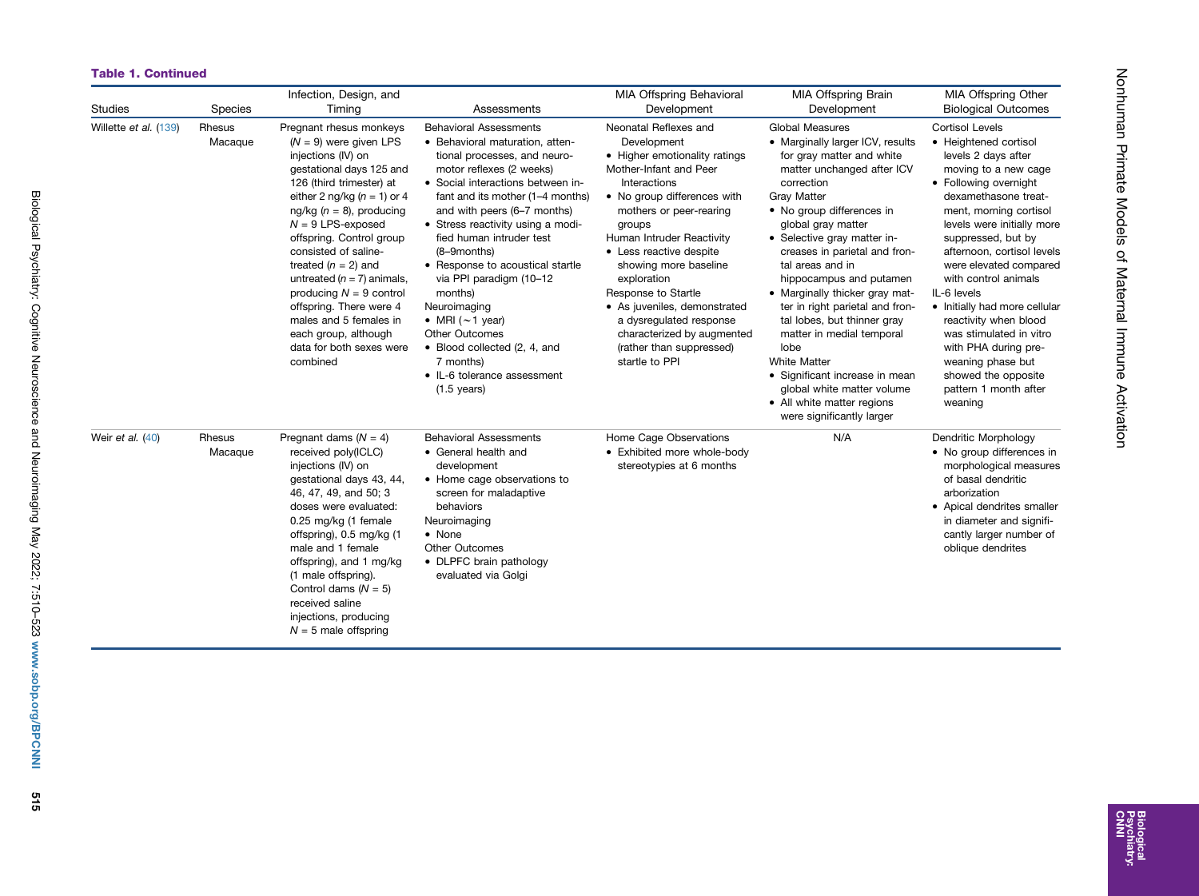#### Table 1. Continued

| <b>Studies</b>        | Species           | Infection, Design, and<br>Timing                                                                                                                                                                                                                                                                                                                                                                                                                                                             | Assessments                                                                                                                                                                                                                                                                                                                                                                                                                                                                                                                                                    | <b>MIA Offspring Behavioral</b><br>Development                                                                                                                                                                                                                                                                                                                                                                                                    | MIA Offspring Brain<br>Development                                                                                                                                                                                                                                                                                                                                                                                                                                                                                                                                                                                     | <b>MIA Offspring Other</b><br><b>Biological Outcomes</b>                                                                                                                                                                                                                                                                                                                                                                                                                                                                  |
|-----------------------|-------------------|----------------------------------------------------------------------------------------------------------------------------------------------------------------------------------------------------------------------------------------------------------------------------------------------------------------------------------------------------------------------------------------------------------------------------------------------------------------------------------------------|----------------------------------------------------------------------------------------------------------------------------------------------------------------------------------------------------------------------------------------------------------------------------------------------------------------------------------------------------------------------------------------------------------------------------------------------------------------------------------------------------------------------------------------------------------------|---------------------------------------------------------------------------------------------------------------------------------------------------------------------------------------------------------------------------------------------------------------------------------------------------------------------------------------------------------------------------------------------------------------------------------------------------|------------------------------------------------------------------------------------------------------------------------------------------------------------------------------------------------------------------------------------------------------------------------------------------------------------------------------------------------------------------------------------------------------------------------------------------------------------------------------------------------------------------------------------------------------------------------------------------------------------------------|---------------------------------------------------------------------------------------------------------------------------------------------------------------------------------------------------------------------------------------------------------------------------------------------------------------------------------------------------------------------------------------------------------------------------------------------------------------------------------------------------------------------------|
| Willette et al. (139) | Rhesus<br>Macaque | Pregnant rhesus monkeys<br>$(N = 9)$ were given LPS<br>injections (IV) on<br>gestational days 125 and<br>126 (third trimester) at<br>either 2 ng/kg ( $n = 1$ ) or 4<br>ng/kg ( $n = 8$ ), producing<br>$N = 9$ LPS-exposed<br>offspring. Control group<br>consisted of saline-<br>treated $(n = 2)$ and<br>untreated ( $n = 7$ ) animals,<br>producing $N = 9$ control<br>offspring. There were 4<br>males and 5 females in<br>each group, although<br>data for both sexes were<br>combined | <b>Behavioral Assessments</b><br>• Behavioral maturation, atten-<br>tional processes, and neuro-<br>motor reflexes (2 weeks)<br>• Social interactions between in-<br>fant and its mother (1-4 months)<br>and with peers (6-7 months)<br>• Stress reactivity using a modi-<br>fied human intruder test<br>(8-9months)<br>• Response to acoustical startle<br>via PPI paradigm (10-12<br>months)<br>Neuroimaging<br>• MRI $(\sim 1$ year)<br>Other Outcomes<br>• Blood collected (2, 4, and<br>7 months)<br>• IL-6 tolerance assessment<br>$(1.5 \text{ years})$ | Neonatal Reflexes and<br>Development<br>• Higher emotionality ratings<br>Mother-Infant and Peer<br>Interactions<br>• No group differences with<br>mothers or peer-rearing<br>groups<br>Human Intruder Reactivity<br>• Less reactive despite<br>showing more baseline<br>exploration<br>Response to Startle<br>• As juveniles, demonstrated<br>a dysregulated response<br>characterized by augmented<br>(rather than suppressed)<br>startle to PPI | <b>Global Measures</b><br>• Marginally larger ICV, results<br>for gray matter and white<br>matter unchanged after ICV<br>correction<br><b>Gray Matter</b><br>• No group differences in<br>global gray matter<br>• Selective gray matter in-<br>creases in parietal and fron-<br>tal areas and in<br>hippocampus and putamen<br>• Marginally thicker gray mat-<br>ter in right parietal and fron-<br>tal lobes, but thinner gray<br>matter in medial temporal<br>lobe<br><b>White Matter</b><br>• Significant increase in mean<br>global white matter volume<br>• All white matter regions<br>were significantly larger | <b>Cortisol Levels</b><br>• Heightened cortisol<br>levels 2 days after<br>moving to a new cage<br>• Following overnight<br>dexamethasone treat-<br>ment, morning cortisol<br>levels were initially more<br>suppressed, but by<br>afternoon, cortisol levels<br>were elevated compared<br>with control animals<br>IL-6 levels<br>• Initially had more cellular<br>reactivity when blood<br>was stimulated in vitro<br>with PHA during pre-<br>weaning phase but<br>showed the opposite<br>pattern 1 month after<br>weaning |
| Weir et al. (40)      | Rhesus<br>Macaque | Pregnant dams $(N = 4)$<br>received poly(ICLC)<br>injections (IV) on<br>gestational days 43, 44,<br>46, 47, 49, and 50; 3<br>doses were evaluated:<br>0.25 mg/kg (1 female<br>offspring), 0.5 mg/kg (1<br>male and 1 female<br>offspring), and 1 mg/kg<br>(1 male offspring).<br>Control dams $(N = 5)$<br>received saline<br>injections, producing<br>$N = 5$ male offspring                                                                                                                | <b>Behavioral Assessments</b><br>• General health and<br>development<br>• Home cage observations to<br>screen for maladaptive<br>behaviors<br>Neuroimaging<br>• None<br><b>Other Outcomes</b><br>• DLPFC brain pathology<br>evaluated via Golgi                                                                                                                                                                                                                                                                                                                | Home Cage Observations<br>• Exhibited more whole-body<br>stereotypies at 6 months                                                                                                                                                                                                                                                                                                                                                                 | N/A                                                                                                                                                                                                                                                                                                                                                                                                                                                                                                                                                                                                                    | Dendritic Morphology<br>• No group differences in<br>morphological measures<br>of basal dendritic<br>arborization<br>• Apical dendrites smaller<br>in diameter and signifi-<br>cantly larger number of<br>oblique dendrites                                                                                                                                                                                                                                                                                               |

Nonhuman Primate Models of Maternal Immune Activation

Nohhuman Primate Models of Maternal Immune Activation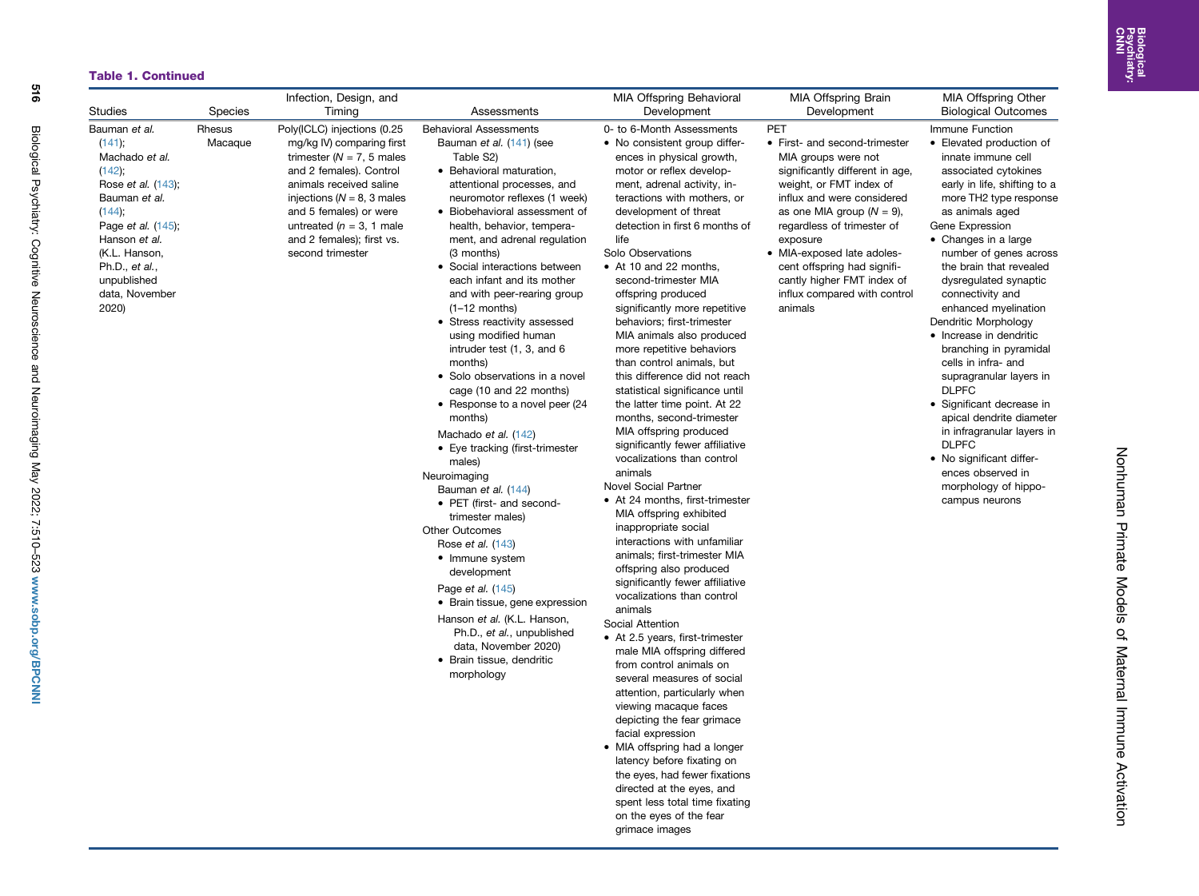Nonhuman Primate Models of Maternal Immune Activation

Nohhuman Primate Models of Maternal Immune Activation

## Table 1. Continued

| <b>Studies</b>                                                                                                                                                                                                              |                                     | Infection, Design, and                                                                                                                                                                                                                                                                                 |                                                                                                                                                                                                                                                                                                                                                                                                                                                                                                                                                                                                                                                                                                                                                                                                                                                                                                                                                                                                                                                                      | <b>MIA Offspring Behavioral</b>                                                                                                                                                                                                                                                                                                                                                                                                                                                                                                                                                                                                                                                                                                                                                                                                                                                                                                                                                                                                                                                                                                                                                                                                                                                                                                                                                                                                                                                                                               | MIA Offspring Brain                                                                                                                                                                                                                                                                                                                                                                     | MIA Offspring Other                                                                                                                                                                                                                                                                                                                                                                                                                                                                                                                                                                                                                                                                                                        |
|-----------------------------------------------------------------------------------------------------------------------------------------------------------------------------------------------------------------------------|-------------------------------------|--------------------------------------------------------------------------------------------------------------------------------------------------------------------------------------------------------------------------------------------------------------------------------------------------------|----------------------------------------------------------------------------------------------------------------------------------------------------------------------------------------------------------------------------------------------------------------------------------------------------------------------------------------------------------------------------------------------------------------------------------------------------------------------------------------------------------------------------------------------------------------------------------------------------------------------------------------------------------------------------------------------------------------------------------------------------------------------------------------------------------------------------------------------------------------------------------------------------------------------------------------------------------------------------------------------------------------------------------------------------------------------|-------------------------------------------------------------------------------------------------------------------------------------------------------------------------------------------------------------------------------------------------------------------------------------------------------------------------------------------------------------------------------------------------------------------------------------------------------------------------------------------------------------------------------------------------------------------------------------------------------------------------------------------------------------------------------------------------------------------------------------------------------------------------------------------------------------------------------------------------------------------------------------------------------------------------------------------------------------------------------------------------------------------------------------------------------------------------------------------------------------------------------------------------------------------------------------------------------------------------------------------------------------------------------------------------------------------------------------------------------------------------------------------------------------------------------------------------------------------------------------------------------------------------------|-----------------------------------------------------------------------------------------------------------------------------------------------------------------------------------------------------------------------------------------------------------------------------------------------------------------------------------------------------------------------------------------|----------------------------------------------------------------------------------------------------------------------------------------------------------------------------------------------------------------------------------------------------------------------------------------------------------------------------------------------------------------------------------------------------------------------------------------------------------------------------------------------------------------------------------------------------------------------------------------------------------------------------------------------------------------------------------------------------------------------------|
| Bauman et al.<br>(141);<br>Machado et al.<br>(142);<br>Rose et al. (143);<br>Bauman et al.<br>$(144)$ ;<br>Page et al. (145);<br>Hanson et al.<br>(K.L. Hanson,<br>Ph.D., et al.,<br>unpublished<br>data, November<br>2020) | <b>Species</b><br>Rhesus<br>Macaque | Timing<br>Poly(ICLC) injections (0.25<br>mg/kg IV) comparing first<br>trimester ( $N = 7$ , 5 males<br>and 2 females). Control<br>animals received saline<br>injections ( $N = 8$ , 3 males<br>and 5 females) or were<br>untreated ( $n = 3$ , 1 male<br>and 2 females); first vs.<br>second trimester | Assessments<br><b>Behavioral Assessments</b><br>Bauman et al. (141) (see<br>Table S2)<br>• Behavioral maturation,<br>attentional processes, and<br>neuromotor reflexes (1 week)<br>• Biobehavioral assessment of<br>health, behavior, tempera-<br>ment, and adrenal regulation<br>(3 months)<br>• Social interactions between<br>each infant and its mother<br>and with peer-rearing group<br>$(1-12$ months)<br>• Stress reactivity assessed<br>using modified human<br>intruder test (1, 3, and 6<br>months)<br>• Solo observations in a novel<br>cage (10 and 22 months)<br>• Response to a novel peer (24<br>months)<br>Machado et al. (142)<br>• Eye tracking (first-trimester<br>males)<br>Neuroimaging<br>Bauman et al. (144)<br>• PET (first- and second-<br>trimester males)<br><b>Other Outcomes</b><br>Rose <i>et al.</i> (143)<br>• Immune system<br>development<br>Page et al. (145)<br>• Brain tissue, gene expression<br>Hanson et al. (K.L. Hanson,<br>Ph.D., et al., unpublished<br>data, November 2020)<br>· Brain tissue, dendritic<br>morphology | Development<br>0- to 6-Month Assessments<br>• No consistent group differ-<br>ences in physical growth,<br>motor or reflex develop-<br>ment, adrenal activity, in-<br>teractions with mothers, or<br>development of threat<br>detection in first 6 months of<br>life<br>Solo Observations<br>• At 10 and 22 months,<br>second-trimester MIA<br>offspring produced<br>significantly more repetitive<br>behaviors; first-trimester<br>MIA animals also produced<br>more repetitive behaviors<br>than control animals, but<br>this difference did not reach<br>statistical significance until<br>the latter time point. At 22<br>months, second-trimester<br>MIA offspring produced<br>significantly fewer affiliative<br>vocalizations than control<br>animals<br><b>Novel Social Partner</b><br>• At 24 months, first-trimester<br>MIA offspring exhibited<br>inappropriate social<br>interactions with unfamiliar<br>animals; first-trimester MIA<br>offspring also produced<br>significantly fewer affiliative<br>vocalizations than control<br>animals<br>Social Attention<br>• At 2.5 years, first-trimester<br>male MIA offspring differed<br>from control animals on<br>several measures of social<br>attention, particularly when<br>viewing macaque faces<br>depicting the fear grimace<br>facial expression<br>• MIA offspring had a longer<br>latency before fixating on<br>the eyes, had fewer fixations<br>directed at the eyes, and<br>spent less total time fixating<br>on the eyes of the fear<br>grimace images | Development<br>PET<br>• First- and second-trimester<br>MIA groups were not<br>significantly different in age,<br>weight, or FMT index of<br>influx and were considered<br>as one MIA group ( $N = 9$ ),<br>regardless of trimester of<br>exposure<br>• MIA-exposed late adoles-<br>cent offspring had signifi-<br>cantly higher FMT index of<br>influx compared with control<br>animals | <b>Biological Outcomes</b><br>Immune Function<br>• Elevated production of<br>innate immune cell<br>associated cytokines<br>early in life, shifting to a<br>more TH2 type response<br>as animals aged<br>Gene Expression<br>• Changes in a large<br>number of genes across<br>the brain that revealed<br>dysregulated synaptic<br>connectivity and<br>enhanced myelination<br>Dendritic Morphology<br>• Increase in dendritic<br>branching in pyramidal<br>cells in infra- and<br>supragranular layers in<br><b>DLPFC</b><br>• Significant decrease in<br>apical dendrite diameter<br>in infragranular layers in<br><b>DLPFC</b><br>• No significant differ-<br>ences observed in<br>morphology of hippo-<br>campus neurons |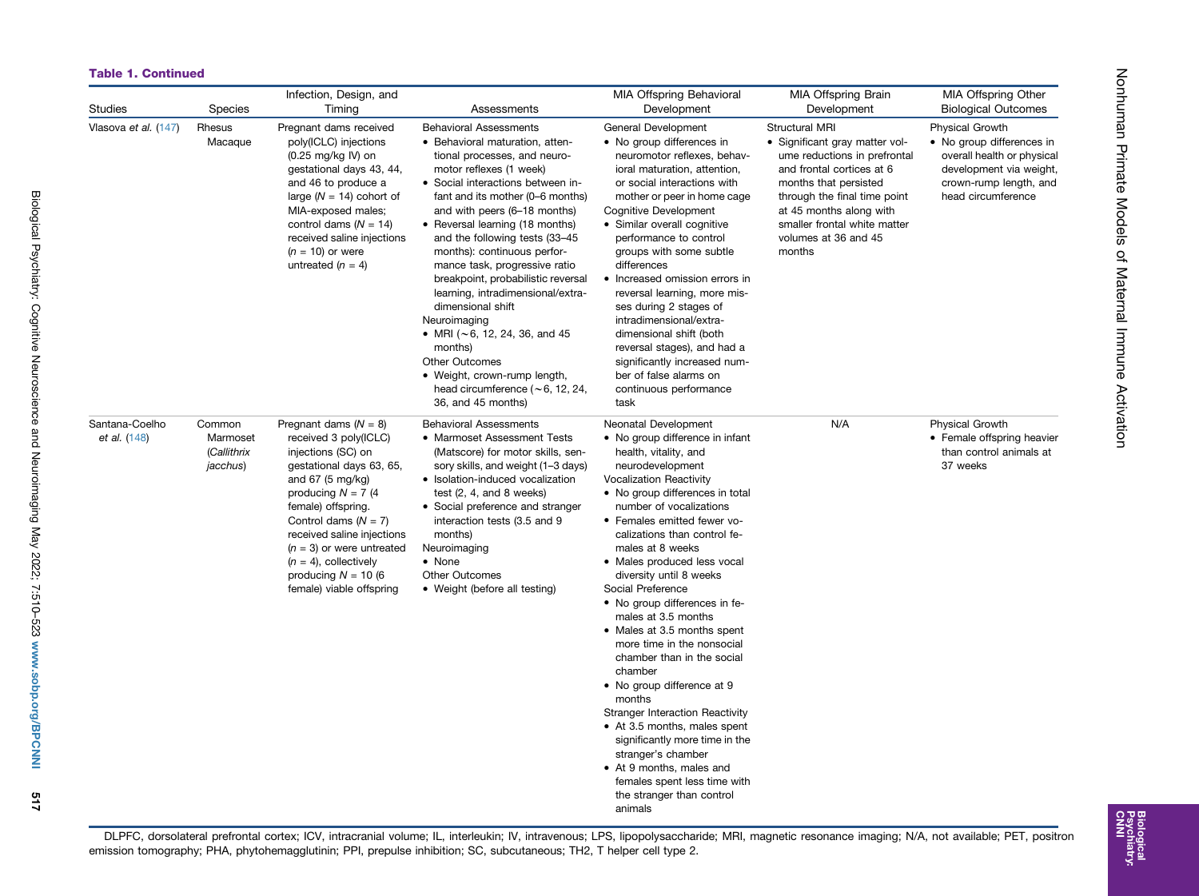## Table 1. Continued

| <b>Studies</b>                 | <b>Species</b>                                | Infection, Design, and<br>Timing                                                                                                                                                                                                                                                                                                                       | Assessments                                                                                                                                                                                                                                                                                                                                                                                                                                                                                                                                                                                                                                                    | <b>MIA Offspring Behavioral</b><br>Development                                                                                                                                                                                                                                                                                                                                                                                                                                                                                                                                                                                                                                                                                                                                                                     | MIA Offspring Brain<br>Development                                                                                                                                                                                                                                         | MIA Offspring Other<br><b>Biological Outcomes</b>                                                                                                            |
|--------------------------------|-----------------------------------------------|--------------------------------------------------------------------------------------------------------------------------------------------------------------------------------------------------------------------------------------------------------------------------------------------------------------------------------------------------------|----------------------------------------------------------------------------------------------------------------------------------------------------------------------------------------------------------------------------------------------------------------------------------------------------------------------------------------------------------------------------------------------------------------------------------------------------------------------------------------------------------------------------------------------------------------------------------------------------------------------------------------------------------------|--------------------------------------------------------------------------------------------------------------------------------------------------------------------------------------------------------------------------------------------------------------------------------------------------------------------------------------------------------------------------------------------------------------------------------------------------------------------------------------------------------------------------------------------------------------------------------------------------------------------------------------------------------------------------------------------------------------------------------------------------------------------------------------------------------------------|----------------------------------------------------------------------------------------------------------------------------------------------------------------------------------------------------------------------------------------------------------------------------|--------------------------------------------------------------------------------------------------------------------------------------------------------------|
| Vlasova et al. (147)           | Rhesus<br>Macaque                             | Pregnant dams received<br>poly(ICLC) injections<br>$(0.25 \text{ mg/kg} \text{ IV})$ on<br>gestational days 43, 44,<br>and 46 to produce a<br>large ( $N = 14$ ) cohort of<br>MIA-exposed males;<br>control dams $(N = 14)$<br>received saline injections<br>$(n = 10)$ or were<br>untreated $(n = 4)$                                                 | <b>Behavioral Assessments</b><br>• Behavioral maturation, atten-<br>tional processes, and neuro-<br>motor reflexes (1 week)<br>• Social interactions between in-<br>fant and its mother (0–6 months)<br>and with peers (6–18 months)<br>• Reversal learning (18 months)<br>and the following tests (33-45<br>months): continuous perfor-<br>mance task, progressive ratio<br>breakpoint, probabilistic reversal<br>learning, intradimensional/extra-<br>dimensional shift<br>Neuroimaging<br>• MRI ( $\sim$ 6, 12, 24, 36, and 45<br>months)<br>Other Outcomes<br>• Weight, crown-rump length,<br>head circumference ( $\sim$ 6, 12, 24,<br>36, and 45 months) | General Development<br>• No group differences in<br>neuromotor reflexes, behav-<br>ioral maturation, attention,<br>or social interactions with<br>mother or peer in home cage<br>Cognitive Development<br>• Similar overall cognitive<br>performance to control<br>groups with some subtle<br>differences<br>• Increased omission errors in<br>reversal learning, more mis-<br>ses during 2 stages of<br>intradimensional/extra-<br>dimensional shift (both<br>reversal stages), and had a<br>significantly increased num-<br>ber of false alarms on<br>continuous performance<br>task                                                                                                                                                                                                                             | <b>Structural MRI</b><br>• Significant gray matter vol-<br>ume reductions in prefrontal<br>and frontal cortices at 6<br>months that persisted<br>through the final time point<br>at 45 months along with<br>smaller frontal white matter<br>volumes at 36 and 45<br>months | <b>Physical Growth</b><br>• No group differences in<br>overall health or physical<br>development via weight,<br>crown-rump length, and<br>head circumference |
| Santana-Coelho<br>et al. (148) | Common<br>Marmoset<br>(Callithrix<br>jacchus) | Pregnant dams $(N = 8)$<br>received 3 poly(ICLC)<br>injections (SC) on<br>gestational days 63, 65,<br>and 67 $(5 \text{ mg/kg})$<br>producing $N = 7$ (4<br>female) offspring.<br>Control dams $(N = 7)$<br>received saline injections<br>$(n = 3)$ or were untreated<br>$(n = 4)$ , collectively<br>producing $N = 10$ (6<br>female) viable offspring | <b>Behavioral Assessments</b><br>• Marmoset Assessment Tests<br>(Matscore) for motor skills, sen-<br>sory skills, and weight (1-3 days)<br>· Isolation-induced vocalization<br>test $(2, 4, and 8 weeks)$<br>• Social preference and stranger<br>interaction tests (3.5 and 9<br>months)<br>Neuroimaging<br>• None<br><b>Other Outcomes</b><br>• Weight (before all testing)                                                                                                                                                                                                                                                                                   | Neonatal Development<br>• No group difference in infant<br>health, vitality, and<br>neurodevelopment<br><b>Vocalization Reactivity</b><br>• No group differences in total<br>number of vocalizations<br>• Females emitted fewer vo-<br>calizations than control fe-<br>males at 8 weeks<br>• Males produced less vocal<br>diversity until 8 weeks<br>Social Preference<br>• No group differences in fe-<br>males at 3.5 months<br>• Males at 3.5 months spent<br>more time in the nonsocial<br>chamber than in the social<br>chamber<br>• No group difference at 9<br>months<br><b>Stranger Interaction Reactivity</b><br>• At 3.5 months, males spent<br>significantly more time in the<br>stranger's chamber<br>• At 9 months, males and<br>females spent less time with<br>the stranger than control<br>animals | N/A                                                                                                                                                                                                                                                                        | <b>Physical Growth</b><br>• Female offspring heavier<br>than control animals at<br>37 weeks                                                                  |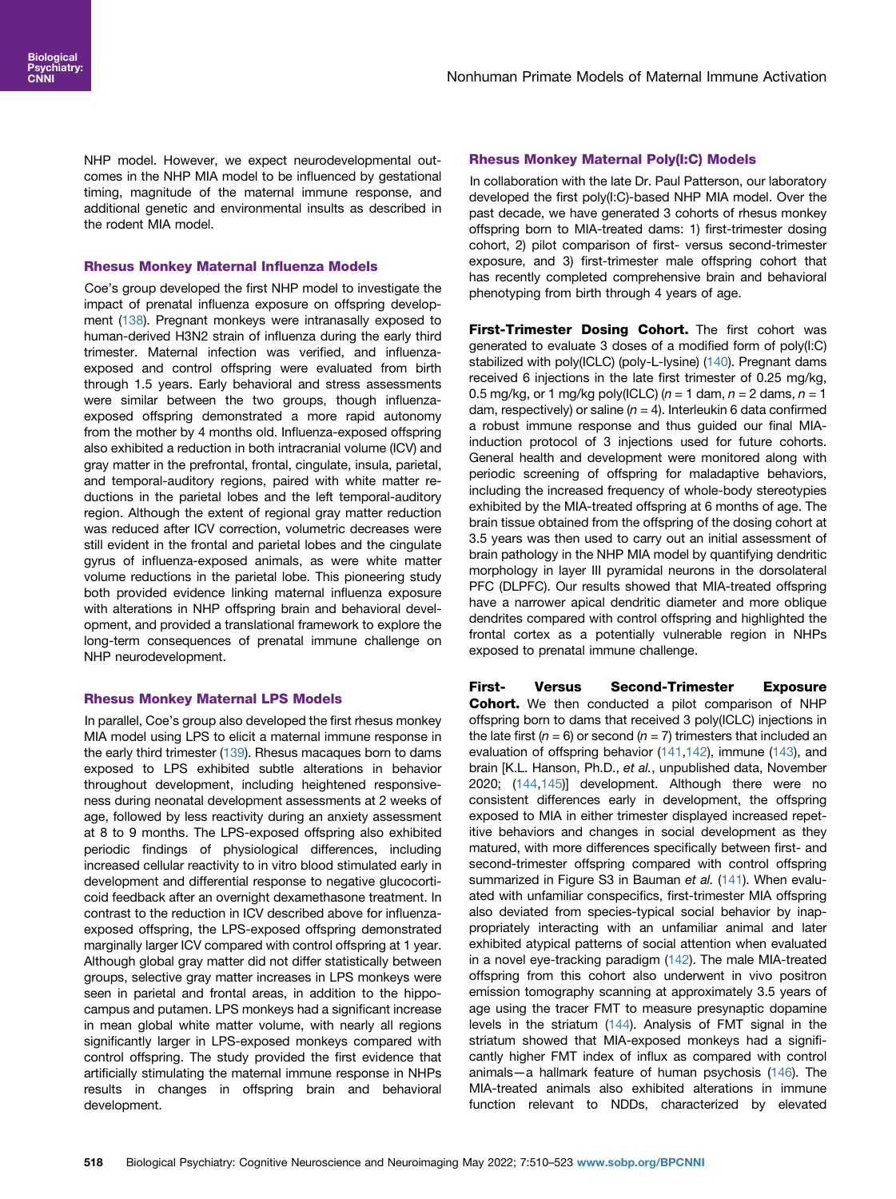NHP model. However, we expect neurodevelopmental outcomes in the NHP MIA model to be influenced by gestational timing, magnitude of the maternal immune response, and additional genetic and environmental insults as described in the rodent MIA model.

## Rhesus Monkey Maternal Influenza Models

Coe's group developed the first NHP model to investigate the impact of prenatal influenza exposure on offspring develop-ment ([138\)](#page-13-23). Pregnant monkeys were intranasally exposed to human-derived H3N2 strain of influenza during the early third trimester. Maternal infection was verified, and influenzaexposed and control offspring were evaluated from birth through 1.5 years. Early behavioral and stress assessments were similar between the two groups, though influenzaexposed offspring demonstrated a more rapid autonomy from the mother by 4 months old. Influenza-exposed offspring also exhibited a reduction in both intracranial volume (ICV) and gray matter in the prefrontal, frontal, cingulate, insula, parietal, and temporal-auditory regions, paired with white matter reductions in the parietal lobes and the left temporal-auditory region. Although the extent of regional gray matter reduction was reduced after ICV correction, volumetric decreases were still evident in the frontal and parietal lobes and the cingulate gyrus of influenza-exposed animals, as were white matter volume reductions in the parietal lobe. This pioneering study both provided evidence linking maternal influenza exposure with alterations in NHP offspring brain and behavioral development, and provided a translational framework to explore the long-term consequences of prenatal immune challenge on NHP neurodevelopment.

## Rhesus Monkey Maternal LPS Models

In parallel, Coe's group also developed the first rhesus monkey MIA model using LPS to elicit a maternal immune response in the early third trimester ([139\)](#page-13-24). Rhesus macaques born to dams exposed to LPS exhibited subtle alterations in behavior throughout development, including heightened responsiveness during neonatal development assessments at 2 weeks of age, followed by less reactivity during an anxiety assessment at 8 to 9 months. The LPS-exposed offspring also exhibited periodic findings of physiological differences, including increased cellular reactivity to in vitro blood stimulated early in development and differential response to negative glucocorticoid feedback after an overnight dexamethasone treatment. In contrast to the reduction in ICV described above for influenzaexposed offspring, the LPS-exposed offspring demonstrated marginally larger ICV compared with control offspring at 1 year. Although global gray matter did not differ statistically between groups, selective gray matter increases in LPS monkeys were seen in parietal and frontal areas, in addition to the hippocampus and putamen. LPS monkeys had a significant increase in mean global white matter volume, with nearly all regions significantly larger in LPS-exposed monkeys compared with control offspring. The study provided the first evidence that artificially stimulating the maternal immune response in NHPs results in changes in offspring brain and behavioral development.

## Rhesus Monkey Maternal Poly(I:C) Models

In collaboration with the late Dr. Paul Patterson, our laboratory developed the first poly(I:C)-based NHP MIA model. Over the past decade, we have generated 3 cohorts of rhesus monkey offspring born to MIA-treated dams: 1) first-trimester dosing cohort, 2) pilot comparison of first- versus second-trimester exposure, and 3) first-trimester male offspring cohort that has recently completed comprehensive brain and behavioral phenotyping from birth through 4 years of age.

First-Trimester Dosing Cohort. The first cohort was generated to evaluate 3 doses of a modified form of poly(I:C) stabilized with poly(ICLC) (poly-L-lysine) [\(140](#page-13-25)). Pregnant dams received 6 injections in the late first trimester of 0.25 mg/kg, 0.5 mg/kg, or 1 mg/kg poly(ICLC) ( $n = 1$  dam,  $n = 2$  dams,  $n = 1$ dam, respectively) or saline  $(n = 4)$ . Interleukin 6 data confirmed a robust immune response and thus guided our final MIAinduction protocol of 3 injections used for future cohorts. General health and development were monitored along with periodic screening of offspring for maladaptive behaviors, including the increased frequency of whole-body stereotypies exhibited by the MIA-treated offspring at 6 months of age. The brain tissue obtained from the offspring of the dosing cohort at 3.5 years was then used to carry out an initial assessment of brain pathology in the NHP MIA model by quantifying dendritic morphology in layer III pyramidal neurons in the dorsolateral PFC (DLPFC). Our results showed that MIA-treated offspring have a narrower apical dendritic diameter and more oblique dendrites compared with control offspring and highlighted the frontal cortex as a potentially vulnerable region in NHPs exposed to prenatal immune challenge.

First- Versus Second-Trimester Exposure Cohort. We then conducted a pilot comparison of NHP offspring born to dams that received 3 poly(ICLC) injections in the late first ( $n = 6$ ) or second ( $n = 7$ ) trimesters that included an evaluation of offspring behavior [\(141,](#page-13-26)[142\)](#page-13-27), immune [\(143](#page-13-28)), and brain [K.L. Hanson, Ph.D., et al., unpublished data, November 2020; ([144](#page-13-29)[,145](#page-13-30))] development. Although there were no consistent differences early in development, the offspring exposed to MIA in either trimester displayed increased repetitive behaviors and changes in social development as they matured, with more differences specifically between first- and second-trimester offspring compared with control offspring summarized in Figure S3 in Bauman et al. [\(141](#page-13-26)). When evaluated with unfamiliar conspecifics, first-trimester MIA offspring also deviated from species-typical social behavior by inappropriately interacting with an unfamiliar animal and later exhibited atypical patterns of social attention when evaluated in a novel eye-tracking paradigm [\(142](#page-13-27)). The male MIA-treated offspring from this cohort also underwent in vivo positron emission tomography scanning at approximately 3.5 years of age using the tracer FMT to measure presynaptic dopamine levels in the striatum [\(144](#page-13-29)). Analysis of FMT signal in the striatum showed that MIA-exposed monkeys had a significantly higher FMT index of influx as compared with control animals—a hallmark feature of human psychosis [\(146](#page-13-31)). The MIA-treated animals also exhibited alterations in immune function relevant to NDDs, characterized by elevated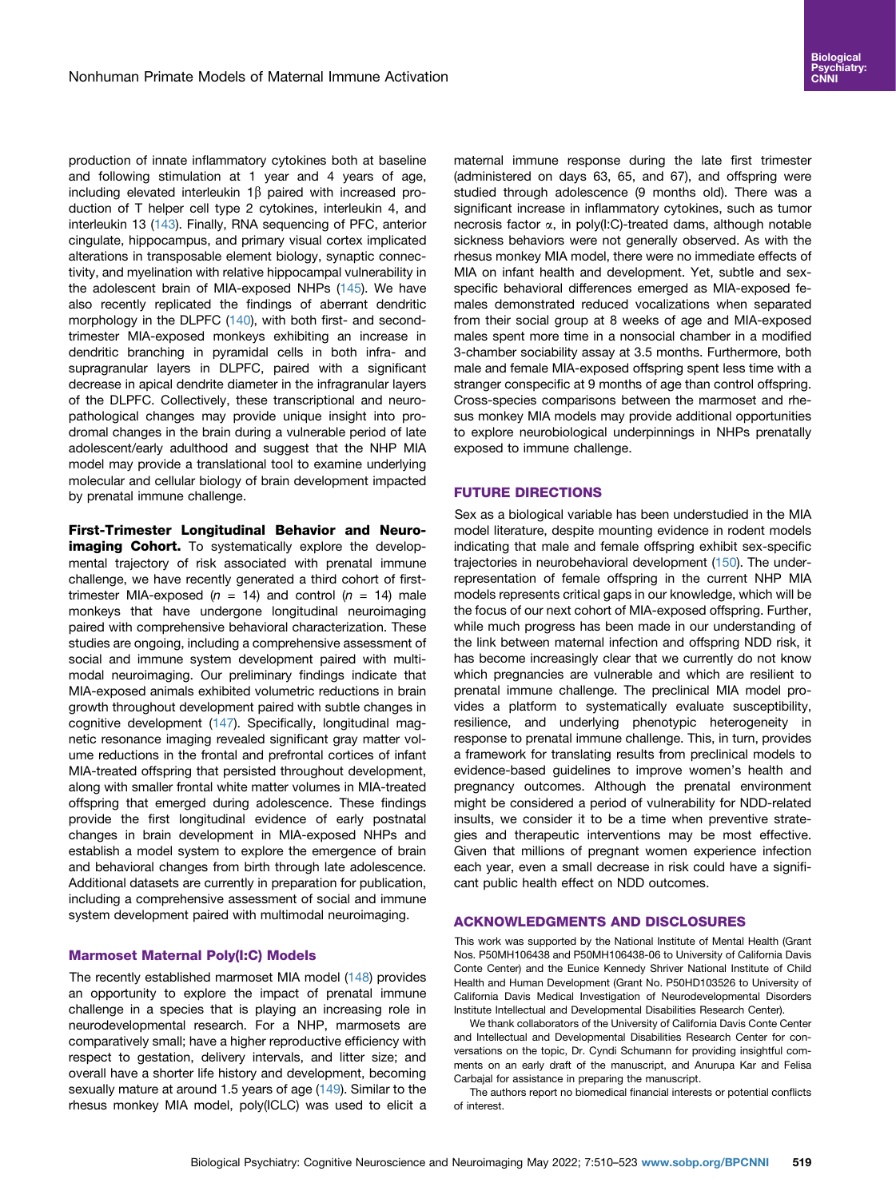production of innate inflammatory cytokines both at baseline and following stimulation at 1 year and 4 years of age, including elevated interleukin  $1\beta$  paired with increased production of T helper cell type 2 cytokines, interleukin 4, and interleukin 13 ([143\)](#page-13-28). Finally, RNA sequencing of PFC, anterior cingulate, hippocampus, and primary visual cortex implicated alterations in transposable element biology, synaptic connectivity, and myelination with relative hippocampal vulnerability in the adolescent brain of MIA-exposed NHPs ([145](#page-13-30)). We have also recently replicated the findings of aberrant dendritic morphology in the DLPFC ([140\)](#page-13-25), with both first- and secondtrimester MIA-exposed monkeys exhibiting an increase in dendritic branching in pyramidal cells in both infra- and supragranular layers in DLPFC, paired with a significant decrease in apical dendrite diameter in the infragranular layers of the DLPFC. Collectively, these transcriptional and neuropathological changes may provide unique insight into prodromal changes in the brain during a vulnerable period of late adolescent/early adulthood and suggest that the NHP MIA model may provide a translational tool to examine underlying molecular and cellular biology of brain development impacted by prenatal immune challenge.

First-Trimester Longitudinal Behavior and Neuroimaging Cohort. To systematically explore the developmental trajectory of risk associated with prenatal immune challenge, we have recently generated a third cohort of firsttrimester MIA-exposed ( $n = 14$ ) and control ( $n = 14$ ) male monkeys that have undergone longitudinal neuroimaging paired with comprehensive behavioral characterization. These studies are ongoing, including a comprehensive assessment of social and immune system development paired with multimodal neuroimaging. Our preliminary findings indicate that MIA-exposed animals exhibited volumetric reductions in brain growth throughout development paired with subtle changes in cognitive development ([147\)](#page-13-32). Specifically, longitudinal magnetic resonance imaging revealed significant gray matter volume reductions in the frontal and prefrontal cortices of infant MIA-treated offspring that persisted throughout development, along with smaller frontal white matter volumes in MIA-treated offspring that emerged during adolescence. These findings provide the first longitudinal evidence of early postnatal changes in brain development in MIA-exposed NHPs and establish a model system to explore the emergence of brain and behavioral changes from birth through late adolescence. Additional datasets are currently in preparation for publication, including a comprehensive assessment of social and immune system development paired with multimodal neuroimaging.

#### Marmoset Maternal Poly(I:C) Models

The recently established marmoset MIA model [\(148](#page-13-33)) provides an opportunity to explore the impact of prenatal immune challenge in a species that is playing an increasing role in neurodevelopmental research. For a NHP, marmosets are comparatively small; have a higher reproductive efficiency with respect to gestation, delivery intervals, and litter size; and overall have a shorter life history and development, becoming sexually mature at around 1.5 years of age [\(149](#page-13-34)). Similar to the rhesus monkey MIA model, poly(ICLC) was used to elicit a

maternal immune response during the late first trimester (administered on days 63, 65, and 67), and offspring were studied through adolescence (9 months old). There was a significant increase in inflammatory cytokines, such as tumor necrosis factor  $\alpha$ , in poly(I:C)-treated dams, although notable sickness behaviors were not generally observed. As with the rhesus monkey MIA model, there were no immediate effects of MIA on infant health and development. Yet, subtle and sexspecific behavioral differences emerged as MIA-exposed females demonstrated reduced vocalizations when separated from their social group at 8 weeks of age and MIA-exposed males spent more time in a nonsocial chamber in a modified 3-chamber sociability assay at 3.5 months. Furthermore, both male and female MIA-exposed offspring spent less time with a stranger conspecific at 9 months of age than control offspring. Cross-species comparisons between the marmoset and rhesus monkey MIA models may provide additional opportunities to explore neurobiological underpinnings in NHPs prenatally exposed to immune challenge.

#### FUTURE DIRECTIONS

Sex as a biological variable has been understudied in the MIA model literature, despite mounting evidence in rodent models indicating that male and female offspring exhibit sex-specific trajectories in neurobehavioral development ([150](#page-13-35)). The underrepresentation of female offspring in the current NHP MIA models represents critical gaps in our knowledge, which will be the focus of our next cohort of MIA-exposed offspring. Further, while much progress has been made in our understanding of the link between maternal infection and offspring NDD risk, it has become increasingly clear that we currently do not know which pregnancies are vulnerable and which are resilient to prenatal immune challenge. The preclinical MIA model provides a platform to systematically evaluate susceptibility, resilience, and underlying phenotypic heterogeneity in response to prenatal immune challenge. This, in turn, provides a framework for translating results from preclinical models to evidence-based guidelines to improve women's health and pregnancy outcomes. Although the prenatal environment might be considered a period of vulnerability for NDD-related insults, we consider it to be a time when preventive strategies and therapeutic interventions may be most effective. Given that millions of pregnant women experience infection each year, even a small decrease in risk could have a significant public health effect on NDD outcomes.

#### ACKNOWLEDGMENTS AND DISCLOSURES

This work was supported by the National Institute of Mental Health (Grant Nos. P50MH106438 and P50MH106438-06 to University of California Davis Conte Center) and the Eunice Kennedy Shriver National Institute of Child Health and Human Development (Grant No. P50HD103526 to University of California Davis Medical Investigation of Neurodevelopmental Disorders Institute Intellectual and Developmental Disabilities Research Center).

We thank collaborators of the University of California Davis Conte Center and Intellectual and Developmental Disabilities Research Center for conversations on the topic, Dr. Cyndi Schumann for providing insightful comments on an early draft of the manuscript, and Anurupa Kar and Felisa Carbajal for assistance in preparing the manuscript.

The authors report no biomedical financial interests or potential conflicts of interest.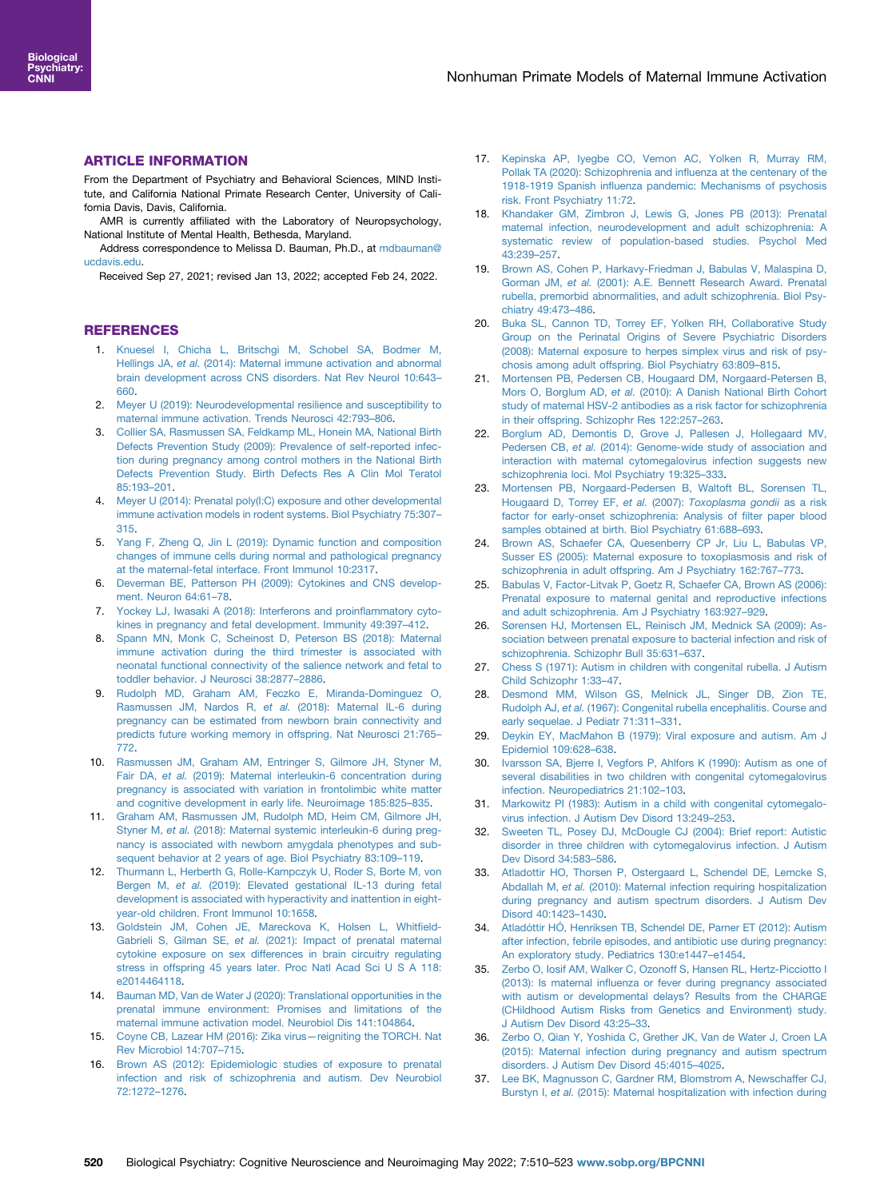## ARTICLE INFORMATION

From the Department of Psychiatry and Behavioral Sciences, MIND Institute, and California National Primate Research Center, University of California Davis, Davis, California.

AMR is currently affiliated with the Laboratory of Neuropsychology, National Institute of Mental Health, Bethesda, Maryland.

Address correspondence to Melissa D. Bauman, Ph.D., at [mdbauman@](mailto:mdbauman@ucdavis.edu) [ucdavis.edu](mailto:mdbauman@ucdavis.edu).

Received Sep 27, 2021; revised Jan 13, 2022; accepted Feb 24, 2022.

## **REFERENCES**

- <span id="page-10-0"></span>1. [Knuesel I, Chicha L, Britschgi M, Schobel SA, Bodmer M,](http://refhub.elsevier.com/S2451-9022(22)00051-9/sref1) Hellings JA, et al. [\(2014\): Maternal immune activation and abnormal](http://refhub.elsevier.com/S2451-9022(22)00051-9/sref1) [brain development across CNS disorders. Nat Rev Neurol 10:643](http://refhub.elsevier.com/S2451-9022(22)00051-9/sref1)– [660.](http://refhub.elsevier.com/S2451-9022(22)00051-9/sref1)
- <span id="page-10-1"></span>2. [Meyer U \(2019\): Neurodevelopmental resilience and susceptibility to](http://refhub.elsevier.com/S2451-9022(22)00051-9/sref2) [maternal immune activation. Trends Neurosci 42:793](http://refhub.elsevier.com/S2451-9022(22)00051-9/sref2)–806.
- <span id="page-10-2"></span>3. [Collier SA, Rasmussen SA, Feldkamp ML, Honein MA, National Birth](http://refhub.elsevier.com/S2451-9022(22)00051-9/sref3) [Defects Prevention Study \(2009\): Prevalence of self-reported infec](http://refhub.elsevier.com/S2451-9022(22)00051-9/sref3)[tion during pregnancy among control mothers in the National Birth](http://refhub.elsevier.com/S2451-9022(22)00051-9/sref3) [Defects Prevention Study. Birth Defects Res A Clin Mol Teratol](http://refhub.elsevier.com/S2451-9022(22)00051-9/sref3) [85:193](http://refhub.elsevier.com/S2451-9022(22)00051-9/sref3)–201.
- <span id="page-10-3"></span>4. [Meyer U \(2014\): Prenatal poly\(I:C\) exposure and other developmental](http://refhub.elsevier.com/S2451-9022(22)00051-9/sref4) [immune activation models in rodent systems. Biol Psychiatry 75:307](http://refhub.elsevier.com/S2451-9022(22)00051-9/sref4)– [315.](http://refhub.elsevier.com/S2451-9022(22)00051-9/sref4)
- <span id="page-10-4"></span>5. [Yang F, Zheng Q, Jin L \(2019\): Dynamic function and composition](http://refhub.elsevier.com/S2451-9022(22)00051-9/sref5) [changes of immune cells during normal and pathological pregnancy](http://refhub.elsevier.com/S2451-9022(22)00051-9/sref5) [at the maternal-fetal interface. Front Immunol 10:2317](http://refhub.elsevier.com/S2451-9022(22)00051-9/sref5).
- <span id="page-10-5"></span>[Deverman BE, Patterson PH \(2009\): Cytokines and CNS develop](http://refhub.elsevier.com/S2451-9022(22)00051-9/sref6)[ment. Neuron 64:61](http://refhub.elsevier.com/S2451-9022(22)00051-9/sref6)-78.
- <span id="page-10-6"></span>7. [Yockey LJ, Iwasaki A \(2018\): Interferons and proin](http://refhub.elsevier.com/S2451-9022(22)00051-9/sref7)flammatory cyto[kines in pregnancy and fetal development. Immunity 49:397](http://refhub.elsevier.com/S2451-9022(22)00051-9/sref7)–412.
- <span id="page-10-7"></span>8. [Spann MN, Monk C, Scheinost D, Peterson BS \(2018\): Maternal](http://refhub.elsevier.com/S2451-9022(22)00051-9/sref8) [immune activation during the third trimester is associated with](http://refhub.elsevier.com/S2451-9022(22)00051-9/sref8) [neonatal functional connectivity of the salience network and fetal to](http://refhub.elsevier.com/S2451-9022(22)00051-9/sref8) [toddler behavior. J Neurosci 38:2877](http://refhub.elsevier.com/S2451-9022(22)00051-9/sref8)–2886.
- 9. [Rudolph MD, Graham AM, Feczko E, Miranda-Dominguez O,](http://refhub.elsevier.com/S2451-9022(22)00051-9/sref9) Rasmussen JM, Nardos R, et al. [\(2018\): Maternal IL-6 during](http://refhub.elsevier.com/S2451-9022(22)00051-9/sref9) [pregnancy can be estimated from newborn brain connectivity and](http://refhub.elsevier.com/S2451-9022(22)00051-9/sref9) [predicts future working memory in offspring. Nat Neurosci 21:765](http://refhub.elsevier.com/S2451-9022(22)00051-9/sref9)– [772.](http://refhub.elsevier.com/S2451-9022(22)00051-9/sref9)
- 10. [Rasmussen JM, Graham AM, Entringer S, Gilmore JH, Styner M,](http://refhub.elsevier.com/S2451-9022(22)00051-9/sref10) Fair DA, et al. [\(2019\): Maternal interleukin-6 concentration during](http://refhub.elsevier.com/S2451-9022(22)00051-9/sref10) [pregnancy is associated with variation in frontolimbic white matter](http://refhub.elsevier.com/S2451-9022(22)00051-9/sref10) [and cognitive development in early life. Neuroimage 185:825](http://refhub.elsevier.com/S2451-9022(22)00051-9/sref10)–835.
- 11. [Graham AM, Rasmussen JM, Rudolph MD, Heim CM, Gilmore JH,](http://refhub.elsevier.com/S2451-9022(22)00051-9/sref11) Styner M, et al. [\(2018\): Maternal systemic interleukin-6 during preg](http://refhub.elsevier.com/S2451-9022(22)00051-9/sref11)[nancy is associated with newborn amygdala phenotypes and sub](http://refhub.elsevier.com/S2451-9022(22)00051-9/sref11)[sequent behavior at 2 years of age. Biol Psychiatry 83:109](http://refhub.elsevier.com/S2451-9022(22)00051-9/sref11)–119.
- 12. [Thurmann L, Herberth G, Rolle-Kampczyk U, Roder S, Borte M, von](http://refhub.elsevier.com/S2451-9022(22)00051-9/sref12) Bergen M, et al. [\(2019\): Elevated gestational IL-13 during fetal](http://refhub.elsevier.com/S2451-9022(22)00051-9/sref12) [development is associated with hyperactivity and inattention in eight](http://refhub.elsevier.com/S2451-9022(22)00051-9/sref12)[year-old children. Front Immunol 10:1658](http://refhub.elsevier.com/S2451-9022(22)00051-9/sref12).
- <span id="page-10-8"></span>13. [Goldstein JM, Cohen JE, Mareckova K, Holsen L, Whit](http://refhub.elsevier.com/S2451-9022(22)00051-9/sref13)field-Gabrieli S, Gilman SE, et al. [\(2021\): Impact of prenatal maternal](http://refhub.elsevier.com/S2451-9022(22)00051-9/sref13) [cytokine exposure on sex differences in brain circuitry regulating](http://refhub.elsevier.com/S2451-9022(22)00051-9/sref13) [stress in offspring 45 years later. Proc Natl Acad Sci U S A 118:](http://refhub.elsevier.com/S2451-9022(22)00051-9/sref13) [e2014464118](http://refhub.elsevier.com/S2451-9022(22)00051-9/sref13).
- <span id="page-10-9"></span>14. [Bauman MD, Van de Water J \(2020\): Translational opportunities in the](http://refhub.elsevier.com/S2451-9022(22)00051-9/sref14) [prenatal immune environment: Promises and limitations of the](http://refhub.elsevier.com/S2451-9022(22)00051-9/sref14) [maternal immune activation model. Neurobiol Dis 141:104864](http://refhub.elsevier.com/S2451-9022(22)00051-9/sref14).
- <span id="page-10-10"></span>15. [Coyne CB, Lazear HM \(2016\): Zika virus](http://refhub.elsevier.com/S2451-9022(22)00051-9/sref15)—reigniting the TORCH. Nat [Rev Microbiol 14:707](http://refhub.elsevier.com/S2451-9022(22)00051-9/sref15)–715.
- <span id="page-10-11"></span>16. [Brown AS \(2012\): Epidemiologic studies of exposure to prenatal](http://refhub.elsevier.com/S2451-9022(22)00051-9/sref16) [infection and risk of schizophrenia and autism. Dev Neurobiol](http://refhub.elsevier.com/S2451-9022(22)00051-9/sref16) [72:1272](http://refhub.elsevier.com/S2451-9022(22)00051-9/sref16)–1276.
- <span id="page-10-12"></span>17. [Kepinska AP, Iyegbe CO, Vernon AC, Yolken R, Murray RM,](http://refhub.elsevier.com/S2451-9022(22)00051-9/sref17) [Pollak TA \(2020\): Schizophrenia and in](http://refhub.elsevier.com/S2451-9022(22)00051-9/sref17)fluenza at the centenary of the 1918-1919 Spanish infl[uenza pandemic: Mechanisms of psychosis](http://refhub.elsevier.com/S2451-9022(22)00051-9/sref17) [risk. Front Psychiatry 11:72](http://refhub.elsevier.com/S2451-9022(22)00051-9/sref17).
- <span id="page-10-13"></span>18. [Khandaker GM, Zimbron J, Lewis G, Jones PB \(2013\): Prenatal](http://refhub.elsevier.com/S2451-9022(22)00051-9/sref18) [maternal infection, neurodevelopment and adult schizophrenia: A](http://refhub.elsevier.com/S2451-9022(22)00051-9/sref18) [systematic review of population-based studies. Psychol Med](http://refhub.elsevier.com/S2451-9022(22)00051-9/sref18) [43:239](http://refhub.elsevier.com/S2451-9022(22)00051-9/sref18)–257.
- 19. [Brown AS, Cohen P, Harkavy-Friedman J, Babulas V, Malaspina D,](http://refhub.elsevier.com/S2451-9022(22)00051-9/sref19) Gorman JM, et al. [\(2001\): A.E. Bennett Research Award. Prenatal](http://refhub.elsevier.com/S2451-9022(22)00051-9/sref19) [rubella, premorbid abnormalities, and adult schizophrenia. Biol Psy](http://refhub.elsevier.com/S2451-9022(22)00051-9/sref19)[chiatry 49:473](http://refhub.elsevier.com/S2451-9022(22)00051-9/sref19)–486.
- 20. [Buka SL, Cannon TD, Torrey EF, Yolken RH, Collaborative Study](http://refhub.elsevier.com/S2451-9022(22)00051-9/sref20) [Group on the Perinatal Origins of Severe Psychiatric Disorders](http://refhub.elsevier.com/S2451-9022(22)00051-9/sref20) [\(2008\): Maternal exposure to herpes simplex virus and risk of psy](http://refhub.elsevier.com/S2451-9022(22)00051-9/sref20)[chosis among adult offspring. Biol Psychiatry 63:809](http://refhub.elsevier.com/S2451-9022(22)00051-9/sref20)–815.
- 21. [Mortensen PB, Pedersen CB, Hougaard DM, Norgaard-Petersen B,](http://refhub.elsevier.com/S2451-9022(22)00051-9/sref21) Mors O, Borglum AD, et al. [\(2010\): A Danish National Birth Cohort](http://refhub.elsevier.com/S2451-9022(22)00051-9/sref21) [study of maternal HSV-2 antibodies as a risk factor for schizophrenia](http://refhub.elsevier.com/S2451-9022(22)00051-9/sref21) [in their offspring. Schizophr Res 122:257](http://refhub.elsevier.com/S2451-9022(22)00051-9/sref21)–263.
- 22. [Borglum AD, Demontis D, Grove J, Pallesen J, Hollegaard MV,](http://refhub.elsevier.com/S2451-9022(22)00051-9/sref22) Pedersen CB, et al. [\(2014\): Genome-wide study of association and](http://refhub.elsevier.com/S2451-9022(22)00051-9/sref22) [interaction with maternal cytomegalovirus infection suggests new](http://refhub.elsevier.com/S2451-9022(22)00051-9/sref22) [schizophrenia loci. Mol Psychiatry 19:325](http://refhub.elsevier.com/S2451-9022(22)00051-9/sref22)–333.
- 23. [Mortensen PB, Norgaard-Pedersen B, Waltoft BL, Sorensen TL,](http://refhub.elsevier.com/S2451-9022(22)00051-9/sref23) [Hougaard D, Torrey EF,](http://refhub.elsevier.com/S2451-9022(22)00051-9/sref23) et al. (2007): Toxoplasma gondii as a risk [factor for early-onset schizophrenia: Analysis of](http://refhub.elsevier.com/S2451-9022(22)00051-9/sref23) filter paper blood [samples obtained at birth. Biol Psychiatry 61:688](http://refhub.elsevier.com/S2451-9022(22)00051-9/sref23)–693.
- 24. [Brown AS, Schaefer CA, Quesenberry CP Jr, Liu L, Babulas VP,](http://refhub.elsevier.com/S2451-9022(22)00051-9/sref24) [Susser ES \(2005\): Maternal exposure to toxoplasmosis and risk of](http://refhub.elsevier.com/S2451-9022(22)00051-9/sref24) [schizophrenia in adult offspring. Am J Psychiatry 162:767](http://refhub.elsevier.com/S2451-9022(22)00051-9/sref24)–773.
- 25. [Babulas V, Factor-Litvak P, Goetz R, Schaefer CA, Brown AS \(2006\):](http://refhub.elsevier.com/S2451-9022(22)00051-9/sref25) [Prenatal exposure to maternal genital and reproductive infections](http://refhub.elsevier.com/S2451-9022(22)00051-9/sref25) [and adult schizophrenia. Am J Psychiatry 163:927](http://refhub.elsevier.com/S2451-9022(22)00051-9/sref25)–929.
- 26. [Sørensen HJ, Mortensen EL, Reinisch JM, Mednick SA \(2009\): As](http://refhub.elsevier.com/S2451-9022(22)00051-9/sref26)[sociation between prenatal exposure to bacterial infection and risk of](http://refhub.elsevier.com/S2451-9022(22)00051-9/sref26) [schizophrenia. Schizophr Bull 35:631](http://refhub.elsevier.com/S2451-9022(22)00051-9/sref26)–637.
- <span id="page-10-14"></span>27. [Chess S \(1971\): Autism in children with congenital rubella. J Autism](http://refhub.elsevier.com/S2451-9022(22)00051-9/sref27) [Child Schizophr 1:33](http://refhub.elsevier.com/S2451-9022(22)00051-9/sref27)–47.
- 28. [Desmond MM, Wilson GS, Melnick JL, Singer DB, Zion TE,](http://refhub.elsevier.com/S2451-9022(22)00051-9/sref28) Rudolph AJ, et al. [\(1967\): Congenital rubella encephalitis. Course and](http://refhub.elsevier.com/S2451-9022(22)00051-9/sref28) [early sequelae. J Pediatr 71:311](http://refhub.elsevier.com/S2451-9022(22)00051-9/sref28)–331.
- 29. [Deykin EY, MacMahon B \(1979\): Viral exposure and autism. Am J](http://refhub.elsevier.com/S2451-9022(22)00051-9/sref29) [Epidemiol 109:628](http://refhub.elsevier.com/S2451-9022(22)00051-9/sref29)–638.
- 30. [Ivarsson SA, Bjerre I, Vegfors P, Ahlfors K \(1990\): Autism as one of](http://refhub.elsevier.com/S2451-9022(22)00051-9/sref30) [several disabilities in two children with congenital cytomegalovirus](http://refhub.elsevier.com/S2451-9022(22)00051-9/sref30) [infection. Neuropediatrics 21:102](http://refhub.elsevier.com/S2451-9022(22)00051-9/sref30)–103.
- 31. [Markowitz PI \(1983\): Autism in a child with congenital cytomegalo](http://refhub.elsevier.com/S2451-9022(22)00051-9/sref31)[virus infection. J Autism Dev Disord 13:249](http://refhub.elsevier.com/S2451-9022(22)00051-9/sref31)–253.
- 32. [Sweeten TL, Posey DJ, McDougle CJ \(2004\): Brief report: Autistic](http://refhub.elsevier.com/S2451-9022(22)00051-9/sref32) [disorder in three children with cytomegalovirus infection. J Autism](http://refhub.elsevier.com/S2451-9022(22)00051-9/sref32) [Dev Disord 34:583](http://refhub.elsevier.com/S2451-9022(22)00051-9/sref32)–586.
- <span id="page-10-15"></span>33. [Atladottir HO, Thorsen P, Ostergaard L, Schendel DE, Lemcke S,](http://refhub.elsevier.com/S2451-9022(22)00051-9/sref33) Abdallah M, et al. [\(2010\): Maternal infection requiring hospitalization](http://refhub.elsevier.com/S2451-9022(22)00051-9/sref33) [during pregnancy and autism spectrum disorders. J Autism Dev](http://refhub.elsevier.com/S2451-9022(22)00051-9/sref33) [Disord 40:1423](http://refhub.elsevier.com/S2451-9022(22)00051-9/sref33)–1430.
- <span id="page-10-16"></span>34. [Atladóttir HÓ, Henriksen TB, Schendel DE, Parner ET \(2012\): Autism](http://refhub.elsevier.com/S2451-9022(22)00051-9/sref34) [after infection, febrile episodes, and antibiotic use during pregnancy:](http://refhub.elsevier.com/S2451-9022(22)00051-9/sref34) [An exploratory study. Pediatrics 130:e1447](http://refhub.elsevier.com/S2451-9022(22)00051-9/sref34)–e1454.
- <span id="page-10-17"></span>35. [Zerbo O, Iosif AM, Walker C, Ozonoff S, Hansen RL, Hertz-Picciotto I](http://refhub.elsevier.com/S2451-9022(22)00051-9/sref35) (2013): Is maternal infl[uenza or fever during pregnancy associated](http://refhub.elsevier.com/S2451-9022(22)00051-9/sref35) [with autism or developmental delays? Results from the CHARGE](http://refhub.elsevier.com/S2451-9022(22)00051-9/sref35) [\(CHildhood Autism Risks from Genetics and Environment\) study.](http://refhub.elsevier.com/S2451-9022(22)00051-9/sref35) [J Autism Dev Disord 43:25](http://refhub.elsevier.com/S2451-9022(22)00051-9/sref35)–33.
- <span id="page-10-18"></span>36. [Zerbo O, Qian Y, Yoshida C, Grether JK, Van de Water J, Croen LA](http://refhub.elsevier.com/S2451-9022(22)00051-9/sref36) [\(2015\): Maternal infection during pregnancy and autism spectrum](http://refhub.elsevier.com/S2451-9022(22)00051-9/sref36) [disorders. J Autism Dev Disord 45:4015](http://refhub.elsevier.com/S2451-9022(22)00051-9/sref36)–4025.
- 37. [Lee BK, Magnusson C, Gardner RM, Blomstrom A, Newschaffer CJ,](http://refhub.elsevier.com/S2451-9022(22)00051-9/sref37) Burstyn I, et al. [\(2015\): Maternal hospitalization with infection during](http://refhub.elsevier.com/S2451-9022(22)00051-9/sref37)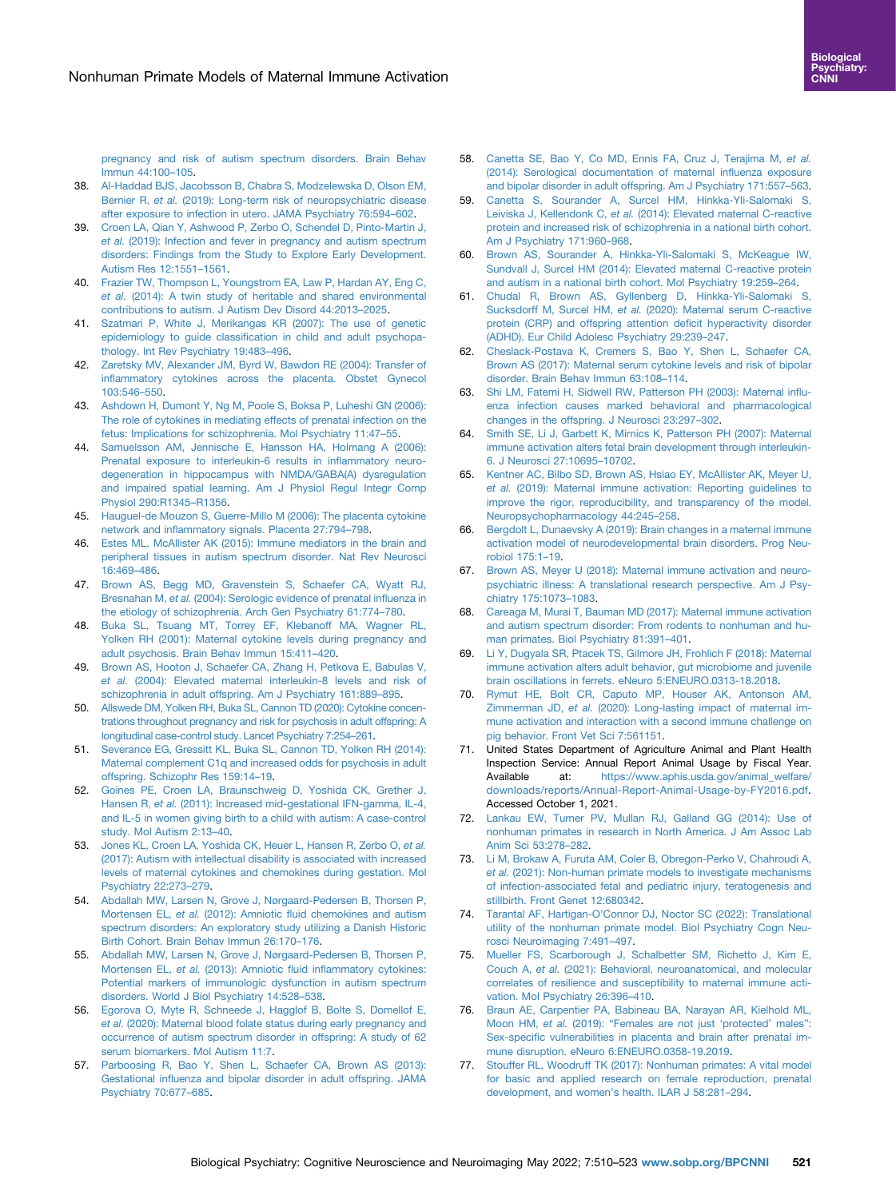[pregnancy and risk of autism spectrum disorders. Brain Behav](http://refhub.elsevier.com/S2451-9022(22)00051-9/sref37) [Immun 44:100](http://refhub.elsevier.com/S2451-9022(22)00051-9/sref37)–105.

- <span id="page-11-0"></span>38. [Al-Haddad BJS, Jacobsson B, Chabra S, Modzelewska D, Olson EM,](http://refhub.elsevier.com/S2451-9022(22)00051-9/sref38) Bernier R, et al. [\(2019\): Long-term risk of neuropsychiatric disease](http://refhub.elsevier.com/S2451-9022(22)00051-9/sref38) [after exposure to infection in utero. JAMA Psychiatry 76:594](http://refhub.elsevier.com/S2451-9022(22)00051-9/sref38)–602.
- <span id="page-11-1"></span>39. [Croen LA, Qian Y, Ashwood P, Zerbo O, Schendel D, Pinto-Martin J,](http://refhub.elsevier.com/S2451-9022(22)00051-9/sref39) et al. [\(2019\): Infection and fever in pregnancy and autism spectrum](http://refhub.elsevier.com/S2451-9022(22)00051-9/sref39) [disorders: Findings from the Study to Explore Early Development.](http://refhub.elsevier.com/S2451-9022(22)00051-9/sref39) [Autism Res 12:1551](http://refhub.elsevier.com/S2451-9022(22)00051-9/sref39)–1561.
- 40. [Frazier TW, Thompson L, Youngstrom EA, Law P, Hardan AY, Eng C,](http://refhub.elsevier.com/S2451-9022(22)00051-9/sref40) et al. [\(2014\): A twin study of heritable and shared environmental](http://refhub.elsevier.com/S2451-9022(22)00051-9/sref40) [contributions to autism. J Autism Dev Disord 44:2013](http://refhub.elsevier.com/S2451-9022(22)00051-9/sref40)–2025.
- 41. [Szatmari P, White J, Merikangas KR \(2007\): The use of genetic](http://refhub.elsevier.com/S2451-9022(22)00051-9/sref41) epidemiology to guide classifi[cation in child and adult psychopa](http://refhub.elsevier.com/S2451-9022(22)00051-9/sref41)[thology. Int Rev Psychiatry 19:483](http://refhub.elsevier.com/S2451-9022(22)00051-9/sref41)–496.
- <span id="page-11-2"></span>42. [Zaretsky MV, Alexander JM, Byrd W, Bawdon RE \(2004\): Transfer of](http://refhub.elsevier.com/S2451-9022(22)00051-9/sref42) infl[ammatory cytokines across the placenta. Obstet Gynecol](http://refhub.elsevier.com/S2451-9022(22)00051-9/sref42) [103:546](http://refhub.elsevier.com/S2451-9022(22)00051-9/sref42)–550.
- 43. [Ashdown H, Dumont Y, Ng M, Poole S, Boksa P, Luheshi GN \(2006\):](http://refhub.elsevier.com/S2451-9022(22)00051-9/sref43) [The role of cytokines in mediating effects of prenatal infection on the](http://refhub.elsevier.com/S2451-9022(22)00051-9/sref43) [fetus: Implications for schizophrenia. Mol Psychiatry 11:47](http://refhub.elsevier.com/S2451-9022(22)00051-9/sref43)–55.
- 44. [Samuelsson AM, Jennische E, Hansson HA, Holmang A \(2006\):](http://refhub.elsevier.com/S2451-9022(22)00051-9/sref44) [Prenatal exposure to interleukin-6 results in in](http://refhub.elsevier.com/S2451-9022(22)00051-9/sref44)flammatory neuro[degeneration in hippocampus with NMDA/GABA\(A\) dysregulation](http://refhub.elsevier.com/S2451-9022(22)00051-9/sref44) [and impaired spatial learning. Am J Physiol Regul Integr Comp](http://refhub.elsevier.com/S2451-9022(22)00051-9/sref44) [Physiol 290:R1345](http://refhub.elsevier.com/S2451-9022(22)00051-9/sref44)–R1356.
- 45. [Hauguel-de Mouzon S, Guerre-Millo M \(2006\): The placenta cytokine](http://refhub.elsevier.com/S2451-9022(22)00051-9/sref45) network and infl[ammatory signals. Placenta 27:794](http://refhub.elsevier.com/S2451-9022(22)00051-9/sref45)–798.
- 46. [Estes ML, McAllister AK \(2015\): Immune mediators in the brain and](http://refhub.elsevier.com/S2451-9022(22)00051-9/sref46) [peripheral tissues in autism spectrum disorder. Nat Rev Neurosci](http://refhub.elsevier.com/S2451-9022(22)00051-9/sref46) [16:469](http://refhub.elsevier.com/S2451-9022(22)00051-9/sref46)–486.
- <span id="page-11-3"></span>47. [Brown AS, Begg MD, Gravenstein S, Schaefer CA, Wyatt RJ,](http://refhub.elsevier.com/S2451-9022(22)00051-9/sref47) Bresnahan M, et al. [\(2004\): Serologic evidence of prenatal in](http://refhub.elsevier.com/S2451-9022(22)00051-9/sref47)fluenza in [the etiology of schizophrenia. Arch Gen Psychiatry 61:774](http://refhub.elsevier.com/S2451-9022(22)00051-9/sref47)–780.
- <span id="page-11-4"></span>48. [Buka SL, Tsuang MT, Torrey EF, Klebanoff MA, Wagner RL,](http://refhub.elsevier.com/S2451-9022(22)00051-9/sref48) [Yolken RH \(2001\): Maternal cytokine levels during pregnancy and](http://refhub.elsevier.com/S2451-9022(22)00051-9/sref48) [adult psychosis. Brain Behav Immun 15:411](http://refhub.elsevier.com/S2451-9022(22)00051-9/sref48)–420.
- 49. [Brown AS, Hooton J, Schaefer CA, Zhang H, Petkova E, Babulas V,](http://refhub.elsevier.com/S2451-9022(22)00051-9/sref49) et al. [\(2004\): Elevated maternal interleukin-8 levels and risk of](http://refhub.elsevier.com/S2451-9022(22)00051-9/sref49) [schizophrenia in adult offspring. Am J Psychiatry 161:889](http://refhub.elsevier.com/S2451-9022(22)00051-9/sref49)–895.
- 50. [Allswede DM, Yolken RH, Buka SL, Cannon TD \(2020\): Cytokine concen](http://refhub.elsevier.com/S2451-9022(22)00051-9/sref50)[trations throughout pregnancy and risk for psychosis in adult offspring: A](http://refhub.elsevier.com/S2451-9022(22)00051-9/sref50) [longitudinal case-control study. Lancet Psychiatry 7:254](http://refhub.elsevier.com/S2451-9022(22)00051-9/sref50)–261.
- <span id="page-11-5"></span>51. [Severance EG, Gressitt KL, Buka SL, Cannon TD, Yolken RH \(2014\):](http://refhub.elsevier.com/S2451-9022(22)00051-9/sref51) [Maternal complement C1q and increased odds for psychosis in adult](http://refhub.elsevier.com/S2451-9022(22)00051-9/sref51) [offspring. Schizophr Res 159:14](http://refhub.elsevier.com/S2451-9022(22)00051-9/sref51)–19.
- <span id="page-11-6"></span>52. [Goines PE, Croen LA, Braunschweig D, Yoshida CK, Grether J,](http://refhub.elsevier.com/S2451-9022(22)00051-9/sref52) Hansen R, et al. [\(2011\): Increased mid-gestational IFN-gamma, IL-4,](http://refhub.elsevier.com/S2451-9022(22)00051-9/sref52) [and IL-5 in women giving birth to a child with autism: A case-control](http://refhub.elsevier.com/S2451-9022(22)00051-9/sref52) [study. Mol Autism 2:13](http://refhub.elsevier.com/S2451-9022(22)00051-9/sref52)–40.
- <span id="page-11-7"></span>53. [Jones KL, Croen LA, Yoshida CK, Heuer L, Hansen R, Zerbo O,](http://refhub.elsevier.com/S2451-9022(22)00051-9/sref53) et al. [\(2017\): Autism with intellectual disability is associated with increased](http://refhub.elsevier.com/S2451-9022(22)00051-9/sref53) [levels of maternal cytokines and chemokines during gestation. Mol](http://refhub.elsevier.com/S2451-9022(22)00051-9/sref53) [Psychiatry 22:273](http://refhub.elsevier.com/S2451-9022(22)00051-9/sref53)–279.
- <span id="page-11-8"></span>54. [Abdallah MW, Larsen N, Grove J, Nørgaard-Pedersen B, Thorsen P,](http://refhub.elsevier.com/S2451-9022(22)00051-9/sref54) Mortensen EL, et al. (2012): Amniotic fl[uid chemokines and autism](http://refhub.elsevier.com/S2451-9022(22)00051-9/sref54) [spectrum disorders: An exploratory study utilizing a Danish Historic](http://refhub.elsevier.com/S2451-9022(22)00051-9/sref54) [Birth Cohort. Brain Behav Immun 26:170](http://refhub.elsevier.com/S2451-9022(22)00051-9/sref54)–176.
- <span id="page-11-9"></span>55. [Abdallah MW, Larsen N, Grove J, Nørgaard-Pedersen B, Thorsen P,](http://refhub.elsevier.com/S2451-9022(22)00051-9/sref55) Mortensen EL, et al. (2013): Amniotic fluid infl[ammatory cytokines:](http://refhub.elsevier.com/S2451-9022(22)00051-9/sref55) [Potential markers of immunologic dysfunction in autism spectrum](http://refhub.elsevier.com/S2451-9022(22)00051-9/sref55) [disorders. World J Biol Psychiatry 14:528](http://refhub.elsevier.com/S2451-9022(22)00051-9/sref55)–538.
- <span id="page-11-10"></span>56. [Egorova O, Myte R, Schneede J, Hagglof B, Bolte S, Domellof E,](http://refhub.elsevier.com/S2451-9022(22)00051-9/sref56) et al. [\(2020\): Maternal blood folate status during early pregnancy and](http://refhub.elsevier.com/S2451-9022(22)00051-9/sref56) [occurrence of autism spectrum disorder in offspring: A study of 62](http://refhub.elsevier.com/S2451-9022(22)00051-9/sref56) [serum biomarkers. Mol Autism 11:7.](http://refhub.elsevier.com/S2451-9022(22)00051-9/sref56)
- <span id="page-11-11"></span>57. [Parboosing R, Bao Y, Shen L, Schaefer CA, Brown AS \(2013\):](http://refhub.elsevier.com/S2451-9022(22)00051-9/sref57) Gestational infl[uenza and bipolar disorder in adult offspring. JAMA](http://refhub.elsevier.com/S2451-9022(22)00051-9/sref57) [Psychiatry 70:677](http://refhub.elsevier.com/S2451-9022(22)00051-9/sref57)–685.
- <span id="page-11-25"></span>58. [Canetta SE, Bao Y, Co MD, Ennis FA, Cruz J, Terajima M,](http://refhub.elsevier.com/S2451-9022(22)00051-9/sref58) et al. [\(2014\): Serological documentation of maternal in](http://refhub.elsevier.com/S2451-9022(22)00051-9/sref58)fluenza exposure [and bipolar disorder in adult offspring. Am J Psychiatry 171:557](http://refhub.elsevier.com/S2451-9022(22)00051-9/sref58)–563.
- 59. [Canetta S, Sourander A, Surcel HM, Hinkka-Yli-Salomaki S,](http://refhub.elsevier.com/S2451-9022(22)00051-9/sref59) Leiviska J, Kellendonk C, et al. [\(2014\): Elevated maternal C-reactive](http://refhub.elsevier.com/S2451-9022(22)00051-9/sref59) [protein and increased risk of schizophrenia in a national birth cohort.](http://refhub.elsevier.com/S2451-9022(22)00051-9/sref59) [Am J Psychiatry 171:960](http://refhub.elsevier.com/S2451-9022(22)00051-9/sref59)–968.
- 60. [Brown AS, Sourander A, Hinkka-Yli-Salomaki S, McKeague IW,](http://refhub.elsevier.com/S2451-9022(22)00051-9/sref60) [Sundvall J, Surcel HM \(2014\): Elevated maternal C-reactive protein](http://refhub.elsevier.com/S2451-9022(22)00051-9/sref60) [and autism in a national birth cohort. Mol Psychiatry 19:259](http://refhub.elsevier.com/S2451-9022(22)00051-9/sref60)–264.
- 61. [Chudal R, Brown AS, Gyllenberg D, Hinkka-Yli-Salomaki S,](http://refhub.elsevier.com/S2451-9022(22)00051-9/sref61) Sucksdorff M, Surcel HM, et al. [\(2020\): Maternal serum C-reactive](http://refhub.elsevier.com/S2451-9022(22)00051-9/sref61) [protein \(CRP\) and offspring attention de](http://refhub.elsevier.com/S2451-9022(22)00051-9/sref61)ficit hyperactivity disorder [\(ADHD\). Eur Child Adolesc Psychiatry 29:239](http://refhub.elsevier.com/S2451-9022(22)00051-9/sref61)–247.
- 62. [Cheslack-Postava K, Cremers S, Bao Y, Shen L, Schaefer CA,](http://refhub.elsevier.com/S2451-9022(22)00051-9/sref62) [Brown AS \(2017\): Maternal serum cytokine levels and risk of bipolar](http://refhub.elsevier.com/S2451-9022(22)00051-9/sref62) [disorder. Brain Behav Immun 63:108](http://refhub.elsevier.com/S2451-9022(22)00051-9/sref62)–114.
- <span id="page-11-12"></span>63. [Shi LM, Fatemi H, Sidwell RW, Patterson PH \(2003\): Maternal in](http://refhub.elsevier.com/S2451-9022(22)00051-9/sref63)flu[enza infection causes marked behavioral and pharmacological](http://refhub.elsevier.com/S2451-9022(22)00051-9/sref63) [changes in the offspring. J Neurosci 23:297](http://refhub.elsevier.com/S2451-9022(22)00051-9/sref63)–302.
- <span id="page-11-13"></span>64. [Smith SE, Li J, Garbett K, Mirnics K, Patterson PH \(2007\): Maternal](http://refhub.elsevier.com/S2451-9022(22)00051-9/sref64) [immune activation alters fetal brain development through interleukin-](http://refhub.elsevier.com/S2451-9022(22)00051-9/sref64)[6. J Neurosci 27:10695](http://refhub.elsevier.com/S2451-9022(22)00051-9/sref64)–10702.
- <span id="page-11-14"></span>65. [Kentner AC, Bilbo SD, Brown AS, Hsiao EY, McAllister AK, Meyer U,](http://refhub.elsevier.com/S2451-9022(22)00051-9/sref65) et al. [\(2019\): Maternal immune activation: Reporting guidelines to](http://refhub.elsevier.com/S2451-9022(22)00051-9/sref65) [improve the rigor, reproducibility, and transparency of the model.](http://refhub.elsevier.com/S2451-9022(22)00051-9/sref65) [Neuropsychopharmacology 44:245](http://refhub.elsevier.com/S2451-9022(22)00051-9/sref65)–258.
- <span id="page-11-15"></span>66. [Bergdolt L, Dunaevsky A \(2019\): Brain changes in a maternal immune](http://refhub.elsevier.com/S2451-9022(22)00051-9/sref66) [activation model of neurodevelopmental brain disorders. Prog Neu](http://refhub.elsevier.com/S2451-9022(22)00051-9/sref66)[robiol 175:1](http://refhub.elsevier.com/S2451-9022(22)00051-9/sref66)–19.
- 67. [Brown AS, Meyer U \(2018\): Maternal immune activation and neuro](http://refhub.elsevier.com/S2451-9022(22)00051-9/sref67)[psychiatric illness: A translational research perspective. Am J Psy](http://refhub.elsevier.com/S2451-9022(22)00051-9/sref67)[chiatry 175:1073](http://refhub.elsevier.com/S2451-9022(22)00051-9/sref67)–1083.
- 68. [Careaga M, Murai T, Bauman MD \(2017\): Maternal immune activation](http://refhub.elsevier.com/S2451-9022(22)00051-9/sref68) [and autism spectrum disorder: From rodents to nonhuman and hu](http://refhub.elsevier.com/S2451-9022(22)00051-9/sref68)[man primates. Biol Psychiatry 81:391](http://refhub.elsevier.com/S2451-9022(22)00051-9/sref68)–401.
- <span id="page-11-16"></span>69. [Li Y, Dugyala SR, Ptacek TS, Gilmore JH, Frohlich F \(2018\): Maternal](http://refhub.elsevier.com/S2451-9022(22)00051-9/sref69) [immune activation alters adult behavior, gut microbiome and juvenile](http://refhub.elsevier.com/S2451-9022(22)00051-9/sref69) [brain oscillations in ferrets. eNeuro 5:ENEURO.0313-18.2018.](http://refhub.elsevier.com/S2451-9022(22)00051-9/sref69)
- <span id="page-11-17"></span>70. [Rymut HE, Bolt CR, Caputo MP, Houser AK, Antonson AM,](http://refhub.elsevier.com/S2451-9022(22)00051-9/sref70) Zimmerman JD, et al. [\(2020\): Long-lasting impact of maternal im](http://refhub.elsevier.com/S2451-9022(22)00051-9/sref70)[mune activation and interaction with a second immune challenge on](http://refhub.elsevier.com/S2451-9022(22)00051-9/sref70) [pig behavior. Front Vet Sci 7:561151](http://refhub.elsevier.com/S2451-9022(22)00051-9/sref70).
- <span id="page-11-18"></span>71. United States Department of Agriculture Animal and Plant Health Inspection Service: Annual Report Animal Usage by Fiscal Year. Available at: [https://www.aphis.usda.gov/animal\\_welfare/](https://www.aphis.usda.gov/animal_welfare/downloads/reports/Annual-Report-Animal-Usage-by-FY2016.pdf) [downloads/reports/Annual-Report-Animal-Usage-by-FY2016.pdf.](https://www.aphis.usda.gov/animal_welfare/downloads/reports/Annual-Report-Animal-Usage-by-FY2016.pdf) Accessed October 1, 2021.
- <span id="page-11-19"></span>72. [Lankau EW, Turner PV, Mullan RJ, Galland GG \(2014\): Use of](http://refhub.elsevier.com/S2451-9022(22)00051-9/sref72) [nonhuman primates in research in North America. J Am Assoc Lab](http://refhub.elsevier.com/S2451-9022(22)00051-9/sref72) [Anim Sci 53:278](http://refhub.elsevier.com/S2451-9022(22)00051-9/sref72)–282.
- <span id="page-11-20"></span>73. [Li M, Brokaw A, Furuta AM, Coler B, Obregon-Perko V, Chahroudi A,](http://refhub.elsevier.com/S2451-9022(22)00051-9/sref73) et al. [\(2021\): Non-human primate models to investigate mechanisms](http://refhub.elsevier.com/S2451-9022(22)00051-9/sref73) [of infection-associated fetal and pediatric injury, teratogenesis and](http://refhub.elsevier.com/S2451-9022(22)00051-9/sref73) [stillbirth. Front Genet 12:680342](http://refhub.elsevier.com/S2451-9022(22)00051-9/sref73).
- <span id="page-11-21"></span>74. Tarantal AF, Hartigan-O'[Connor DJ, Noctor SC \(2022\): Translational](http://refhub.elsevier.com/S2451-9022(22)00051-9/sref151) [utility of the nonhuman primate model. Biol Psychiatry Cogn Neu](http://refhub.elsevier.com/S2451-9022(22)00051-9/sref151)[rosci Neuroimaging 7:491](http://refhub.elsevier.com/S2451-9022(22)00051-9/sref151)–497.
- <span id="page-11-22"></span>75. [Mueller FS, Scarborough J, Schalbetter SM, Richetto J, Kim E,](http://refhub.elsevier.com/S2451-9022(22)00051-9/sref74) Couch A, et al. [\(2021\): Behavioral, neuroanatomical, and molecular](http://refhub.elsevier.com/S2451-9022(22)00051-9/sref74) [correlates of resilience and susceptibility to maternal immune acti](http://refhub.elsevier.com/S2451-9022(22)00051-9/sref74)[vation. Mol Psychiatry 26:396](http://refhub.elsevier.com/S2451-9022(22)00051-9/sref74)–410.
- <span id="page-11-23"></span>76. [Braun AE, Carpentier PA, Babineau BA, Narayan AR, Kielhold ML,](http://refhub.elsevier.com/S2451-9022(22)00051-9/sref75) Moon HM, et al. (2019): "[Females are not just](http://refhub.elsevier.com/S2451-9022(22)00051-9/sref75) 'protected' males": Sex-specifi[c vulnerabilities in placenta and brain after prenatal im](http://refhub.elsevier.com/S2451-9022(22)00051-9/sref75)[mune disruption. eNeuro 6:ENEURO.0358-19.2019.](http://refhub.elsevier.com/S2451-9022(22)00051-9/sref75)
- <span id="page-11-24"></span>77. [Stouffer RL, Woodruff TK \(2017\): Nonhuman primates: A vital model](http://refhub.elsevier.com/S2451-9022(22)00051-9/sref76) [for basic and applied research on female reproduction, prenatal](http://refhub.elsevier.com/S2451-9022(22)00051-9/sref76) [development, and women](http://refhub.elsevier.com/S2451-9022(22)00051-9/sref76)'s health. ILAR J 58:281–294.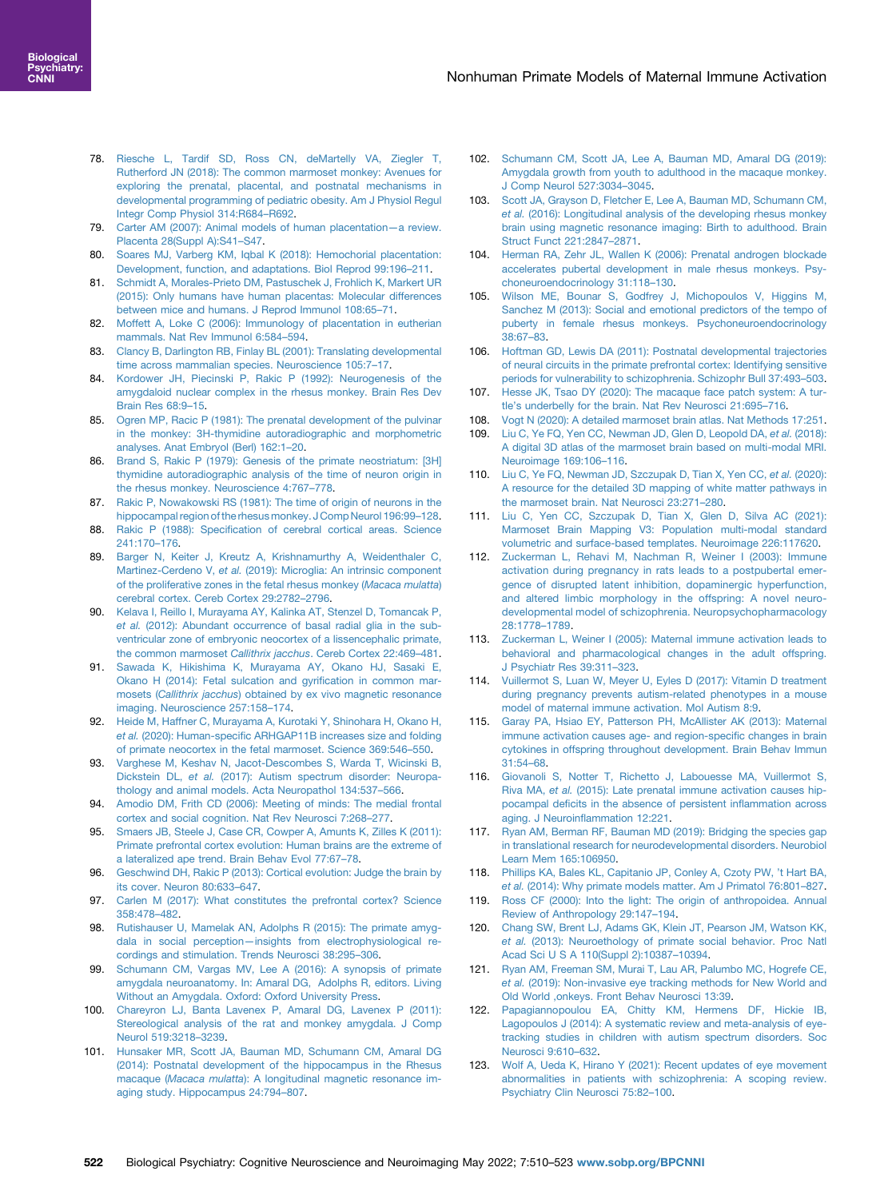- <span id="page-12-0"></span>78. [Riesche L, Tardif SD, Ross CN, deMartelly VA, Ziegler T,](http://refhub.elsevier.com/S2451-9022(22)00051-9/sref77) [Rutherford JN \(2018\): The common marmoset monkey: Avenues for](http://refhub.elsevier.com/S2451-9022(22)00051-9/sref77) [exploring the prenatal, placental, and postnatal mechanisms in](http://refhub.elsevier.com/S2451-9022(22)00051-9/sref77) [developmental programming of pediatric obesity. Am J Physiol Regul](http://refhub.elsevier.com/S2451-9022(22)00051-9/sref77) [Integr Comp Physiol 314:R684](http://refhub.elsevier.com/S2451-9022(22)00051-9/sref77)–R692.
- <span id="page-12-1"></span>79. [Carter AM \(2007\): Animal models of human placentation](http://refhub.elsevier.com/S2451-9022(22)00051-9/sref78)—a review. [Placenta 28\(Suppl A\):S41](http://refhub.elsevier.com/S2451-9022(22)00051-9/sref78)–S47.
- <span id="page-12-2"></span>80. [Soares MJ, Varberg KM, Iqbal K \(2018\): Hemochorial placentation:](http://refhub.elsevier.com/S2451-9022(22)00051-9/sref79) [Development, function, and adaptations. Biol Reprod 99:196](http://refhub.elsevier.com/S2451-9022(22)00051-9/sref79)–211.
- <span id="page-12-3"></span>81. [Schmidt A, Morales-Prieto DM, Pastuschek J, Frohlich K, Markert UR](http://refhub.elsevier.com/S2451-9022(22)00051-9/sref80) [\(2015\): Only humans have human placentas: Molecular differences](http://refhub.elsevier.com/S2451-9022(22)00051-9/sref80) [between mice and humans. J Reprod Immunol 108:65](http://refhub.elsevier.com/S2451-9022(22)00051-9/sref80)–71.
- <span id="page-12-4"></span>82. [Moffett A, Loke C \(2006\): Immunology of placentation in eutherian](http://refhub.elsevier.com/S2451-9022(22)00051-9/sref81) [mammals. Nat Rev Immunol 6:584](http://refhub.elsevier.com/S2451-9022(22)00051-9/sref81)–594.
- <span id="page-12-5"></span>83. [Clancy B, Darlington RB, Finlay BL \(2001\): Translating developmental](http://refhub.elsevier.com/S2451-9022(22)00051-9/sref82) [time across mammalian species. Neuroscience 105:7](http://refhub.elsevier.com/S2451-9022(22)00051-9/sref82)–17.
- <span id="page-12-6"></span>84. [Kordower JH, Piecinski P, Rakic P \(1992\): Neurogenesis of the](http://refhub.elsevier.com/S2451-9022(22)00051-9/sref83) [amygdaloid nuclear complex in the rhesus monkey. Brain Res Dev](http://refhub.elsevier.com/S2451-9022(22)00051-9/sref83) [Brain Res 68:9](http://refhub.elsevier.com/S2451-9022(22)00051-9/sref83)–15.
- <span id="page-12-7"></span>85. [Ogren MP, Racic P \(1981\): The prenatal development of the pulvinar](http://refhub.elsevier.com/S2451-9022(22)00051-9/sref84) [in the monkey: 3H-thymidine autoradiographic and morphometric](http://refhub.elsevier.com/S2451-9022(22)00051-9/sref84) [analyses. Anat Embryol \(Berl\) 162:1](http://refhub.elsevier.com/S2451-9022(22)00051-9/sref84)–20.
- <span id="page-12-8"></span>86. [Brand S, Rakic P \(1979\): Genesis of the primate neostriatum: \[3H\]](http://refhub.elsevier.com/S2451-9022(22)00051-9/sref85) [thymidine autoradiographic analysis of the time of neuron origin in](http://refhub.elsevier.com/S2451-9022(22)00051-9/sref85) [the rhesus monkey. Neuroscience 4:767](http://refhub.elsevier.com/S2451-9022(22)00051-9/sref85)–778.
- <span id="page-12-9"></span>87. [Rakic P, Nowakowski RS \(1981\): The time of origin of neurons in the](http://refhub.elsevier.com/S2451-9022(22)00051-9/sref86) [hippocampal region of the rhesus monkey. J Comp Neurol 196:99](http://refhub.elsevier.com/S2451-9022(22)00051-9/sref86)–128.
- <span id="page-12-10"></span>88. Rakic P (1988): Specifi[cation of cerebral cortical areas. Science](http://refhub.elsevier.com/S2451-9022(22)00051-9/sref87) [241:170](http://refhub.elsevier.com/S2451-9022(22)00051-9/sref87)–176.
- <span id="page-12-11"></span>89. [Barger N, Keiter J, Kreutz A, Krishnamurthy A, Weidenthaler C,](http://refhub.elsevier.com/S2451-9022(22)00051-9/sref88) Martinez-Cerdeno V, et al. [\(2019\): Microglia: An intrinsic component](http://refhub.elsevier.com/S2451-9022(22)00051-9/sref88) [of the proliferative zones in the fetal rhesus monkey \(](http://refhub.elsevier.com/S2451-9022(22)00051-9/sref88)Macaca mulatta) [cerebral cortex. Cereb Cortex 29:2782](http://refhub.elsevier.com/S2451-9022(22)00051-9/sref88)–2796.
- <span id="page-12-12"></span>90. [Kelava I, Reillo I, Murayama AY, Kalinka AT, Stenzel D, Tomancak P,](http://refhub.elsevier.com/S2451-9022(22)00051-9/sref89) et al. [\(2012\): Abundant occurrence of basal radial glia in the sub](http://refhub.elsevier.com/S2451-9022(22)00051-9/sref89)[ventricular zone of embryonic neocortex of a lissencephalic primate,](http://refhub.elsevier.com/S2451-9022(22)00051-9/sref89) [the common marmoset](http://refhub.elsevier.com/S2451-9022(22)00051-9/sref89) Callithrix jacchus. Cereb Cortex 22:469–481.
- 91. [Sawada K, Hikishima K, Murayama AY, Okano HJ, Sasaki E,](http://refhub.elsevier.com/S2451-9022(22)00051-9/sref90) [Okano H \(2014\): Fetal sulcation and gyri](http://refhub.elsevier.com/S2451-9022(22)00051-9/sref90)fication in common marmosets (Callithrix jacchus[\) obtained by ex vivo magnetic resonance](http://refhub.elsevier.com/S2451-9022(22)00051-9/sref90) [imaging. Neuroscience 257:158](http://refhub.elsevier.com/S2451-9022(22)00051-9/sref90)–174.
- 92. [Heide M, Haffner C, Murayama A, Kurotaki Y, Shinohara H, Okano H,](http://refhub.elsevier.com/S2451-9022(22)00051-9/sref91) et al. (2020): Human-specifi[c ARHGAP11B increases size and folding](http://refhub.elsevier.com/S2451-9022(22)00051-9/sref91) [of primate neocortex in the fetal marmoset. Science 369:546](http://refhub.elsevier.com/S2451-9022(22)00051-9/sref91)–550.
- <span id="page-12-13"></span>93. [Varghese M, Keshav N, Jacot-Descombes S, Warda T, Wicinski B,](http://refhub.elsevier.com/S2451-9022(22)00051-9/sref92) Dickstein DL, et al. [\(2017\): Autism spectrum disorder: Neuropa](http://refhub.elsevier.com/S2451-9022(22)00051-9/sref92)[thology and animal models. Acta Neuropathol 134:537](http://refhub.elsevier.com/S2451-9022(22)00051-9/sref92)–566.
- <span id="page-12-14"></span>94. [Amodio DM, Frith CD \(2006\): Meeting of minds: The medial frontal](http://refhub.elsevier.com/S2451-9022(22)00051-9/sref93) [cortex and social cognition. Nat Rev Neurosci 7:268](http://refhub.elsevier.com/S2451-9022(22)00051-9/sref93)–277.
- <span id="page-12-15"></span>95. [Smaers JB, Steele J, Case CR, Cowper A, Amunts K, Zilles K \(2011\):](http://refhub.elsevier.com/S2451-9022(22)00051-9/sref94) [Primate prefrontal cortex evolution: Human brains are the extreme of](http://refhub.elsevier.com/S2451-9022(22)00051-9/sref94) [a lateralized ape trend. Brain Behav Evol 77:67](http://refhub.elsevier.com/S2451-9022(22)00051-9/sref94)–78.
- <span id="page-12-16"></span>96. [Geschwind DH, Rakic P \(2013\): Cortical evolution: Judge the brain by](http://refhub.elsevier.com/S2451-9022(22)00051-9/sref95) [its cover. Neuron 80:633](http://refhub.elsevier.com/S2451-9022(22)00051-9/sref95)–647.
- <span id="page-12-17"></span>97. [Carlen M \(2017\): What constitutes the prefrontal cortex? Science](http://refhub.elsevier.com/S2451-9022(22)00051-9/sre96) [358:478](http://refhub.elsevier.com/S2451-9022(22)00051-9/sre96)–482.
- <span id="page-12-18"></span>98. [Rutishauser U, Mamelak AN, Adolphs R \(2015\): The primate amyg](http://refhub.elsevier.com/S2451-9022(22)00051-9/sref97)dala in social perception—[insights from electrophysiological re](http://refhub.elsevier.com/S2451-9022(22)00051-9/sref97)[cordings and stimulation. Trends Neurosci 38:295](http://refhub.elsevier.com/S2451-9022(22)00051-9/sref97)–306.
- <span id="page-12-19"></span>99. [Schumann CM, Vargas MV, Lee A \(2016\): A synopsis of primate](http://refhub.elsevier.com/S2451-9022(22)00051-9/sref98) [amygdala neuroanatomy. In: Amaral DG, Adolphs R, editors. Living](http://refhub.elsevier.com/S2451-9022(22)00051-9/sref98) [Without an Amygdala. Oxford: Oxford University Press.](http://refhub.elsevier.com/S2451-9022(22)00051-9/sref98)
- <span id="page-12-20"></span>100. [Chareyron LJ, Banta Lavenex P, Amaral DG, Lavenex P \(2011\):](http://refhub.elsevier.com/S2451-9022(22)00051-9/sref99) [Stereological analysis of the rat and monkey amygdala. J Comp](http://refhub.elsevier.com/S2451-9022(22)00051-9/sref99) [Neurol 519:3218](http://refhub.elsevier.com/S2451-9022(22)00051-9/sref99)–3239.
- <span id="page-12-21"></span>101. [Hunsaker MR, Scott JA, Bauman MD, Schumann CM, Amaral DG](http://refhub.elsevier.com/S2451-9022(22)00051-9/sref100) [\(2014\): Postnatal development of the hippocampus in the Rhesus](http://refhub.elsevier.com/S2451-9022(22)00051-9/sref100) macaque (Macaca mulatta[\): A longitudinal magnetic resonance im](http://refhub.elsevier.com/S2451-9022(22)00051-9/sref100)[aging study. Hippocampus 24:794](http://refhub.elsevier.com/S2451-9022(22)00051-9/sref100)–807.
- 102. [Schumann CM, Scott JA, Lee A, Bauman MD, Amaral DG \(2019\):](http://refhub.elsevier.com/S2451-9022(22)00051-9/sref101) [Amygdala growth from youth to adulthood in the macaque monkey.](http://refhub.elsevier.com/S2451-9022(22)00051-9/sref101) [J Comp Neurol 527:3034](http://refhub.elsevier.com/S2451-9022(22)00051-9/sref101)–3045.
- 103. [Scott JA, Grayson D, Fletcher E, Lee A, Bauman MD, Schumann CM,](http://refhub.elsevier.com/S2451-9022(22)00051-9/sref102) et al. [\(2016\): Longitudinal analysis of the developing rhesus monkey](http://refhub.elsevier.com/S2451-9022(22)00051-9/sref102) [brain using magnetic resonance imaging: Birth to adulthood. Brain](http://refhub.elsevier.com/S2451-9022(22)00051-9/sref102) [Struct Funct 221:2847](http://refhub.elsevier.com/S2451-9022(22)00051-9/sref102)–2871.
- <span id="page-12-22"></span>104. [Herman RA, Zehr JL, Wallen K \(2006\): Prenatal androgen blockade](http://refhub.elsevier.com/S2451-9022(22)00051-9/sref103) [accelerates pubertal development in male rhesus monkeys. Psy](http://refhub.elsevier.com/S2451-9022(22)00051-9/sref103)[choneuroendocrinology 31:118](http://refhub.elsevier.com/S2451-9022(22)00051-9/sref103)–130.
- <span id="page-12-23"></span>105. [Wilson ME, Bounar S, Godfrey J, Michopoulos V, Higgins M,](http://refhub.elsevier.com/S2451-9022(22)00051-9/sref104) [Sanchez M \(2013\): Social and emotional predictors of the tempo of](http://refhub.elsevier.com/S2451-9022(22)00051-9/sref104) [puberty in female rhesus monkeys. Psychoneuroendocrinology](http://refhub.elsevier.com/S2451-9022(22)00051-9/sref104) [38:67](http://refhub.elsevier.com/S2451-9022(22)00051-9/sref104)–83.
- <span id="page-12-24"></span>106. [Hoftman GD, Lewis DA \(2011\): Postnatal developmental trajectories](http://refhub.elsevier.com/S2451-9022(22)00051-9/sref105) [of neural circuits in the primate prefrontal cortex: Identifying sensitive](http://refhub.elsevier.com/S2451-9022(22)00051-9/sref105) [periods for vulnerability to schizophrenia. Schizophr Bull 37:493](http://refhub.elsevier.com/S2451-9022(22)00051-9/sref105)–503.
- <span id="page-12-25"></span>107. [Hesse JK, Tsao DY \(2020\): The macaque face patch system: A tur](http://refhub.elsevier.com/S2451-9022(22)00051-9/sref106)tle'[s underbelly for the brain. Nat Rev Neurosci 21:695](http://refhub.elsevier.com/S2451-9022(22)00051-9/sref106)–716.
- <span id="page-12-26"></span>108. [Vogt N \(2020\): A detailed marmoset brain atlas. Nat Methods 17:251](http://refhub.elsevier.com/S2451-9022(22)00051-9/sref107).
- <span id="page-12-27"></span>109. [Liu C, Ye FQ, Yen CC, Newman JD, Glen D, Leopold DA,](http://refhub.elsevier.com/S2451-9022(22)00051-9/sref108) et al. (2018): [A digital 3D atlas of the marmoset brain based on multi-modal MRI.](http://refhub.elsevier.com/S2451-9022(22)00051-9/sref108) [Neuroimage 169:106](http://refhub.elsevier.com/S2451-9022(22)00051-9/sref108)–116.
- <span id="page-12-28"></span>110. [Liu C, Ye FQ, Newman JD, Szczupak D, Tian X, Yen CC,](http://refhub.elsevier.com/S2451-9022(22)00051-9/sref109) et al. (2020): [A resource for the detailed 3D mapping of white matter pathways in](http://refhub.elsevier.com/S2451-9022(22)00051-9/sref109) [the marmoset brain. Nat Neurosci 23:271](http://refhub.elsevier.com/S2451-9022(22)00051-9/sref109)–280.
- <span id="page-12-29"></span>111. [Liu C, Yen CC, Szczupak D, Tian X, Glen D, Silva AC \(2021\):](http://refhub.elsevier.com/S2451-9022(22)00051-9/sref110) [Marmoset Brain Mapping V3: Population multi-modal standard](http://refhub.elsevier.com/S2451-9022(22)00051-9/sref110) [volumetric and surface-based templates. Neuroimage 226:117620](http://refhub.elsevier.com/S2451-9022(22)00051-9/sref110).
- <span id="page-12-30"></span>112. [Zuckerman L, Rehavi M, Nachman R, Weiner I \(2003\): Immune](http://refhub.elsevier.com/S2451-9022(22)00051-9/sref111) [activation during pregnancy in rats leads to a postpubertal emer](http://refhub.elsevier.com/S2451-9022(22)00051-9/sref111)[gence of disrupted latent inhibition, dopaminergic hyperfunction,](http://refhub.elsevier.com/S2451-9022(22)00051-9/sref111) [and altered limbic morphology in the offspring: A novel neuro](http://refhub.elsevier.com/S2451-9022(22)00051-9/sref111)[developmental model of schizophrenia. Neuropsychopharmacology](http://refhub.elsevier.com/S2451-9022(22)00051-9/sref111) [28:1778](http://refhub.elsevier.com/S2451-9022(22)00051-9/sref111)–1789.
- <span id="page-12-31"></span>113. [Zuckerman L, Weiner I \(2005\): Maternal immune activation leads to](http://refhub.elsevier.com/S2451-9022(22)00051-9/sref112) [behavioral and pharmacological changes in the adult offspring.](http://refhub.elsevier.com/S2451-9022(22)00051-9/sref112) [J Psychiatr Res 39:311](http://refhub.elsevier.com/S2451-9022(22)00051-9/sref112)–323.
- <span id="page-12-32"></span>114. [Vuillermot S, Luan W, Meyer U, Eyles D \(2017\): Vitamin D treatment](http://refhub.elsevier.com/S2451-9022(22)00051-9/sref113) [during pregnancy prevents autism-related phenotypes in a mouse](http://refhub.elsevier.com/S2451-9022(22)00051-9/sref113) [model of maternal immune activation. Mol Autism 8:9](http://refhub.elsevier.com/S2451-9022(22)00051-9/sref113).
- 115. [Garay PA, Hsiao EY, Patterson PH, McAllister AK \(2013\): Maternal](http://refhub.elsevier.com/S2451-9022(22)00051-9/sref114) [immune activation causes age- and region-speci](http://refhub.elsevier.com/S2451-9022(22)00051-9/sref114)fic changes in brain [cytokines in offspring throughout development. Brain Behav Immun](http://refhub.elsevier.com/S2451-9022(22)00051-9/sref114) [31:54](http://refhub.elsevier.com/S2451-9022(22)00051-9/sref114)–68.
- 116. [Giovanoli S, Notter T, Richetto J, Labouesse MA, Vuillermot S,](http://refhub.elsevier.com/S2451-9022(22)00051-9/sref115) Riva MA, et al. [\(2015\): Late prenatal immune activation causes hip](http://refhub.elsevier.com/S2451-9022(22)00051-9/sref115)pocampal defi[cits in the absence of persistent in](http://refhub.elsevier.com/S2451-9022(22)00051-9/sref115)flammation across aging. J Neuroinfl[ammation 12:221.](http://refhub.elsevier.com/S2451-9022(22)00051-9/sref115)
- <span id="page-12-33"></span>117. [Ryan AM, Berman RF, Bauman MD \(2019\): Bridging the species gap](http://refhub.elsevier.com/S2451-9022(22)00051-9/sref116) [in translational research for neurodevelopmental disorders. Neurobiol](http://refhub.elsevier.com/S2451-9022(22)00051-9/sref116) [Learn Mem 165:106950](http://refhub.elsevier.com/S2451-9022(22)00051-9/sref116).
- <span id="page-12-34"></span>118. [Phillips KA, Bales KL, Capitanio JP, Conley A, Czoty PW,](http://refhub.elsevier.com/S2451-9022(22)00051-9/sref117) 't Hart BA, et al. [\(2014\): Why primate models matter. Am J Primatol 76:801](http://refhub.elsevier.com/S2451-9022(22)00051-9/sref117)–827.
- <span id="page-12-35"></span>119. [Ross CF \(2000\): Into the light: The origin of anthropoidea. Annual](http://refhub.elsevier.com/S2451-9022(22)00051-9/sref118) [Review of Anthropology 29:147](http://refhub.elsevier.com/S2451-9022(22)00051-9/sref118)–194.
- <span id="page-12-36"></span>120. [Chang SW, Brent LJ, Adams GK, Klein JT, Pearson JM, Watson KK,](http://refhub.elsevier.com/S2451-9022(22)00051-9/sref119) et al. [\(2013\): Neuroethology of primate social behavior. Proc Natl](http://refhub.elsevier.com/S2451-9022(22)00051-9/sref119) [Acad Sci U S A 110\(Suppl 2\):10387](http://refhub.elsevier.com/S2451-9022(22)00051-9/sref119)–10394.
- <span id="page-12-37"></span>121. [Ryan AM, Freeman SM, Murai T, Lau AR, Palumbo MC, Hogrefe CE,](http://refhub.elsevier.com/S2451-9022(22)00051-9/sref120) et al. [\(2019\): Non-invasive eye tracking methods for New World and](http://refhub.elsevier.com/S2451-9022(22)00051-9/sref120) [Old World ,onkeys. Front Behav Neurosci 13:39](http://refhub.elsevier.com/S2451-9022(22)00051-9/sref120).
- <span id="page-12-38"></span>122. [Papagiannopoulou EA, Chitty KM, Hermens DF, Hickie IB,](http://refhub.elsevier.com/S2451-9022(22)00051-9/sref121) [Lagopoulos J \(2014\): A systematic review and meta-analysis of eye](http://refhub.elsevier.com/S2451-9022(22)00051-9/sref121)[tracking studies in children with autism spectrum disorders. Soc](http://refhub.elsevier.com/S2451-9022(22)00051-9/sref121) [Neurosci 9:610](http://refhub.elsevier.com/S2451-9022(22)00051-9/sref121)–632.
- <span id="page-12-39"></span>123. [Wolf A, Ueda K, Hirano Y \(2021\): Recent updates of eye movement](http://refhub.elsevier.com/S2451-9022(22)00051-9/sref122) [abnormalities in patients with schizophrenia: A scoping review.](http://refhub.elsevier.com/S2451-9022(22)00051-9/sref122) [Psychiatry Clin Neurosci 75:82](http://refhub.elsevier.com/S2451-9022(22)00051-9/sref122)–100.